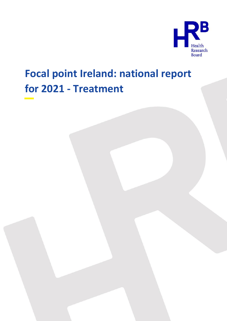

# **Focal point Ireland: national report for 2021 - Treatment**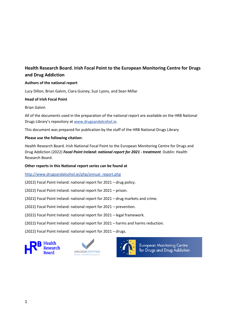## **Health Research Board. Irish Focal Point to the European Monitoring Centre for Drugs and Drug Addiction**

## **Authors of the national report**

Lucy Dillon, Brian Galvin, Ciara Guiney, Suzi Lyons, and Sean Millar

## **Head of Irish Focal Point**

Brian Galvin

All of the documents used in the preparation of the national report are available on the HRB National Drugs Library's repository at [www.drugsandalcohol.ie.](http://www.drugsandalcohol.ie/)

This document was prepared for publication by the staff of the HRB National Drugs Library

## **Please use the following citation:**

Health Research Board. Irish National Focal Point to the European Monitoring Centre for Drugs and Drug Addiction (2022) *Focal Point Ireland: national report for 2021 - treatment*. Dublin: Health Research Board.

## **Other reports in this National report series can be found at**

[http://www.drugsandalcohol.ie/php/annual\\_report.php](http://www.drugsandalcohol.ie/php/annual_report.php)

(2022) Focal Point Ireland: national report for 2021 – drug policy.

(2022) Focal Point Ireland: national report for 2021 – prison.

(2022) Focal Point Ireland: national report for 2021 – drug markets and crime.

(2022) Focal Point Ireland: national report for 2021 – prevention.

(2022) Focal Point Ireland: national report for 2021 – legal framework.

(2022) Focal Point Ireland: national report for 2021 – harms and harms reduction.

(2022) Focal Point Ireland: national report for 2021 – drugs.







**European Monitoring Centre** for Drugs and Drug Addiction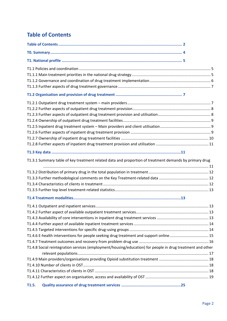## <span id="page-2-0"></span>**Table of Contents**

|       | T1.3.1 Summary table of key treatment related data and proportion of treatment demands by primary drug                                                                                              |  |
|-------|-----------------------------------------------------------------------------------------------------------------------------------------------------------------------------------------------------|--|
|       |                                                                                                                                                                                                     |  |
|       | T1.4.6 E-health interventions for people seeking drug treatment and support online 15<br>T1.4.8 Social reintegration services (employment/housing/education) for people in drug treatment and other |  |
|       |                                                                                                                                                                                                     |  |
| T1.5. |                                                                                                                                                                                                     |  |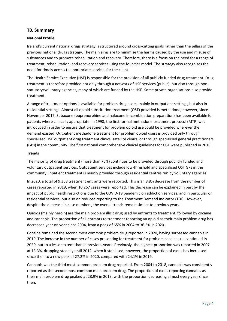## <span id="page-4-0"></span>**T0. Summary**

## **National Profile**

Ireland's current national drugs strategy is structured around cross-cutting goals rather than the pillars of the previous national drugs strategy. The main aims are to minimise the harms caused by the use and misuse of substances and to promote rehabilitation and recovery. Therefore, there is a focus on the need for a range of treatment, rehabilitation, and recovery services using the four-tier model. The strategy also recognises the need for timely access to appropriate services for the client.

The Health Service Executive (HSE) is responsible for the provision of all publicly funded drug treatment. Drug treatment is therefore provided not only through a network of HSE services (public), but also through nonstatutory/voluntary agencies, many of which are funded by the HSE. Some private organisations also provide treatment.

A range of treatment options is available for problem drug users, mainly in outpatient settings, but also in residential settings. Almost all opioid substitution treatment (OST) provided is methadone; however, since November 2017, Suboxone (buprenorphine and naloxone in-combination preparation) has been available for patients where clinically appropriate. In 1998, the first formal methadone treatment protocol (MTP) was introduced in order to ensure that treatment for problem opioid use could be provided wherever the demand existed. Outpatient methadone treatment for problem opioid users is provided only through specialised HSE outpatient drug treatment clinics, satellite clinics, or through specialised general practitioners (GPs) in the community. The first national comprehensive clinical guidelines for OST were published in 2016.

#### **Trends**

The majority of drug treatment (more than 75%) continues to be provided through publicly funded and voluntary outpatient services. Outpatient services include low-threshold and specialised OST GPs in the community. Inpatient treatment is mainly provided through residential centres run by voluntary agencies.

In 2020, a total of 9,368 treatment entrants were reported. This is an 8.8% decrease from the number of cases reported in 2019, when 10,267 cases were reported. This decrease can be explained in part by the impact of public health restrictions due to the COVID-19 pandemic on addiction services, and in particular on residential services, but also on reduced reporting to the Treatment Demand Indicator (TDI). However, despite the decrease in case numbers, the overall trends remain similar to previous years.

Opioids (mainly heroin) are the main problem illicit drug used by entrants to treatment, followed by cocaine and cannabis. The proportion of all entrants to treatment reporting an opioid as their main problem drug has decreased year on year since 2004, from a peak of 65% in 2004 to 36.5% in 2020.

Cocaine remained the second most common problem drug reported in 2020, having surpassed cannabis in 2019. The increase in the number of cases presenting for treatment for problem cocaine use continued in 2020, but to a lesser extent than in previous years. Previously, the highest proportion was reported in 2007 at 13.3%, dropping steadily until 2012, when it stabilised; however, the proportion of cases has increased since then to a new peak of 27.2% in 2020, compared with 24.1% in 2019.

Cannabis was the third most common problem drug reported. From 2004 to 2018, cannabis was consistently reported as the second most common main problem drug. The proportion of cases reporting cannabis as their main problem drug peaked at 28.9% in 2013, with the proportion decreasing almost every year since then.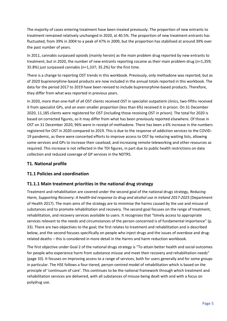The majority of cases entering treatment have been treated previously. The proportion of new entrants to treatment remained relatively unchanged in 2020, at 40.5%. The proportion of new treatment entrants has fluctuated, from 39% in 2004 to a peak of 47% in 2009, but the proportion has stabilised at around 39% over the past number of years.

In 2011, cannabis surpassed opioids (mainly heroin) as the main problem drug reported by new entrants to treatment, but in 2020, the number of new entrants reporting cocaine as their main problem drug (n=1,359; 35.8%) just surpassed cannabis (n=1,337; 35.2%) for the first time.

There is a change to reporting OST trends in this workbook. Previously, only methadone was reported, but as of 2020 buprenorphine-based products are now included in the annual totals reported in this workbook. The data for the period 2017 to 2019 have been revised to include buprenorphine-based products. Therefore, they differ from what was reported in previous years.

In 2020, more than one-half of all OST clients received OST in specialist outpatient clinics, two-fifths received it from specialist GPs, and an even smaller proportion (less than 6%) received it in prison. On 31 December 2020, 11,185 clients were registered for OST (including those receiving OST in prison). The total for 2020 is based on corrected figures, so it may differ from what has been previously reported elsewhere. Of those in OST on 31 December 2020, 96% were in receipt of methadone. There has been a 6% increase in the numbers registered for OST in 2020 compared to 2019. This is due to the response of addiction services to the COVID-19 pandemic, as there were concerted efforts to improve access to OST by reducing waiting lists, allowing some services and GPs to increase their caseload, and increasing remote teleworking and other resources as required. This increase is not reflected in the TDI figures, in part due to public health restrictions on data collection and reduced coverage of GP services in the NDTRS.

## <span id="page-5-0"></span>**T1. National profile**

## <span id="page-5-1"></span>**T1.1 Policies and coordination**

## <span id="page-5-2"></span>**T1.1.1 Main treatment priorities in the national drug strategy**

Treatment and rehabilitation are covered under the second goal of the national drugs strategy, *Reducing Harm, Supporting Recovery: A health-led response to drug and alcohol use in Ireland 2017-2025* (Department of Health 2017). The main aims of the strategy are to minimise the harms caused by the use and misuse of substances and to promote rehabilitation and recovery. The second goal focuses on the range of treatment, rehabilitation, and recovery services available to users. It recognises that "timely access to appropriate services relevant to the needs and circumstances of the person concerned is of fundamental importance" (p. 33). There are two objectives to the goal; the first relates to treatment and rehabilitation and is described below, and the second focuses specifically on people who inject drugs and the issues of overdose and drugrelated deaths – this is considered in more detail in the Harms and harm reduction workbook.

The first objective under Goal 2 of the national drugs strategy is "To attain better health and social outcomes for people who experience harm from substance misuse and meet their recovery and rehabilitation needs" (page 33). It focuses on improving access to a range of services, both for users generally and for some groups in particular. The HSE follows a four-tiered, person-centred model of rehabilitation which is based on the principle of 'continuum of care'. This continues to be the national framework through which treatment and rehabilitation services are delivered, with all substances of misuse being dealt with and with a focus on polydrug use.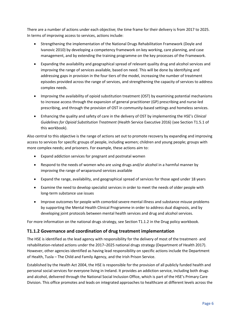There are a number of actions under each objective; the time frame for their delivery is from 2017 to 2025. In terms of improving access to services, actions include:

- Strengthening the implementation of the National Drugs Rehabilitation Framework (Doyle and Ivanovic 2010) by developing a competency framework on key working, care planning, and case management, and by extending the training programme on the key processes of the Framework.
- Expanding the availability and geographical spread of relevant quality drug and alcohol services and improving the range of services available, based on need. This will be done by identifying and addressing gaps in provision in the four tiers of the model, increasing the number of treatment episodes provided across the range of services, and strengthening the capacity of services to address complex needs.
- Improving the availability of opioid substitution treatment (OST) by examining potential mechanisms to increase access through the expansion of general practitioner (GP) prescribing and nurse-led prescribing, and through the provision of OST in community-based settings and homeless services.
- Enhancing the quality and safety of care in the delivery of OST by implementing the HSE's *Clinical Guidelines for Opioid Substitution Treatment* (Health Service Executive 2016) (see Section T1.5.1 of this workbook).

Also central to this objective is the range of actions set out to promote recovery by expanding and improving access to services for specific groups of people, including women; children and young people; groups with more complex needs; and prisoners. For example, these actions aim to:

- Expand addiction services for pregnant and postnatal women
- Respond to the needs of women who are using drugs and/or alcohol in a harmful manner by improving the range of wraparound services available
- Expand the range, availability, and geographical spread of services for those aged under 18 years
- Examine the need to develop specialist services in order to meet the needs of older people with long-term substance use issues
- Improve outcomes for people with comorbid severe mental illness and substance misuse problems by supporting the Mental Health Clinical Programme in order to address dual diagnosis, and by developing joint protocols between mental health services and drug and alcohol services.

For more information on the national drugs strategy, see Section T1.1.2 in the Drug policy workbook.

## <span id="page-6-0"></span>**T1.1.2 Governance and coordination of drug treatment implementation**

The HSE is identified as the lead agency with responsibility for the delivery of most of the treatment- and rehabilitation-related actions under the 2017–2025 national drugs strategy (Department of Health 2017). However, other agencies identified as having lead responsibility on specific actions include the Department of Health, Tusla – The Child and Family Agency, and the Irish Prison Service.

Established by the Health Act 2004, the HSE is responsible for the provision of all publicly funded health and personal social services for everyone living in Ireland. It provides an addiction service, including both drugs and alcohol, delivered through the National Social Inclusion Office, which is part of the HSE's Primary Care Division. This office promotes and leads on integrated approaches to healthcare at different levels across the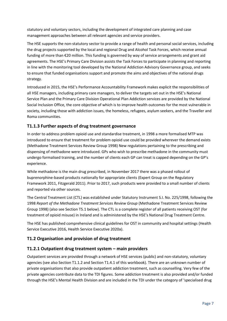statutory and voluntary sectors, including the development of integrated care planning and case management approaches between all relevant agencies and service providers.

The HSE supports the non-statutory sector to provide a range of health and personal social services, including the drug projects supported by the local and regional Drug and Alcohol Task Forces, which receive annual funding of more than €20 million. This funding is governed by way of service arrangements and grant aid agreements. The HSE's Primary Care Division assists the Task Forces to participate in planning and reporting in line with the monitoring tool developed by the National Addiction Advisory Governance group, and seeks to ensure that funded organisations support and promote the aims and objectives of the national drugs strategy.

Introduced in 2015, the HSE's Performance Accountability Framework makes explicit the responsibilities of all HSE managers, including primary care managers, to deliver the targets set out in the HSE's National Service Plan and the Primary Care Division Operational Plan Addiction services are provided by the National Social Inclusion Office, the core objective of which is to improve health outcomes for the most vulnerable in society, including those with addiction issues, the homeless, refugees, asylum seekers, and the Traveller and Roma communities.

## <span id="page-7-0"></span>**T1.1.3 Further aspects of drug treatment governance**

In order to address problem opioid use and standardise treatment, in 1998 a more formalised MTP was introduced to ensure that treatment for problem opioid use could be provided wherever the demand exists (Methadone Treatment Services Review Group 1998) New regulations pertaining to the prescribing and dispensing of methadone were introduced. GPs who wish to prescribe methadone in the community must undergo formalised training, and the number of clients each GP can treat is capped depending on the GP's experience.

While methadone is the main drug prescribed, in November 2017 there was a phased rollout of buprenorphine-based products nationally for appropriate clients (Expert Group on the Regulatory Framework 2011, Fitzgerald 2011). Prior to 2017, such products were provided to a small number of clients and reported via other sources.

The Central Treatment List (CTL) was established under Statutory Instrument S.I. No. 225/1998, following the 1998 *Report of the Methadone Treatment Services Review Group* (Methadone Treatment Services Review Group 1998) (also see Section T5.1 below). The CTL is a complete register of all patients receiving OST (for treatment of opioid misuse) in Ireland and is administered by the HSE's National Drug Treatment Centre.

The HSE has published comprehensive clinical guidelines for OST in community and hospital settings (Health Service Executive 2016, Health Service Executive 2020a).

## <span id="page-7-1"></span>**T1.2 Organisation and provision of drug treatment**

## <span id="page-7-2"></span>**T1.2.1 Outpatient drug treatment system – main providers**

Outpatient services are provided through a network of HSE services (public) and non-statutory, voluntary agencies (see also Section T1.1.2 and Section T1.4.1 of this workbook). There are an unknown number of private organisations that also provide outpatient addiction treatment, such as counselling. Very few of the private agencies contribute data to the TDI figures. Some addiction treatment is also provided and/or funded through the HSE's Mental Health Division and are included in the TDI under the category of 'specialised drug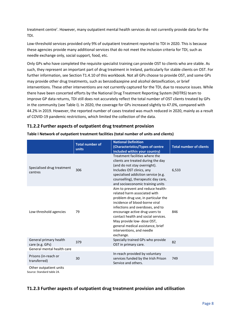treatment centre'. However, many outpatient mental health services do not currently provide data for the TDI.

Low-threshold services provided only 9% of outpatient treatment reported to TDI in 2020. This is because these agencies provide many additional services that do not meet the inclusion criteria for TDI, such as needle exchange only, social support, food, etc.

Only GPs who have completed the requisite specialist training can provide OST to clients who are stable. As such, they represent an important part of drug treatment in Ireland, particularly for stable clients on OST. For further information, see Section T1.4.10 of this workbook. Not all GPs choose to provide OST, and some GPs may provide other drug treatments, such as benzodiazepine and alcohol detoxification, or brief interventions. These other interventions are not currently captured for the TDI, due to resource issues. While there have been concerted efforts by the National Drug Treatment Reporting System (NDTRS) team to improve GP data returns, TDI still does not accurately reflect the total number of OST clients treated by GPs in the community (see Table I). In 2020, the coverage for GPs increased slightly to 47.0%, compared with 44.2% in 2019. However, the reported number of cases treated was much reduced in 2020, mainly as a result of COVID-19 pandemic restrictions, which limited the collection of the data.

## <span id="page-8-0"></span>**T1.2.2 Further aspects of outpatient drug treatment provision**

|                                                      | <b>Total number of</b><br>units | <b>National Definition</b><br>(Characteristics/Types of centre<br>included within your country)                                                                                                                                                                                                                                                                      | <b>Total number of clients</b> |
|------------------------------------------------------|---------------------------------|----------------------------------------------------------------------------------------------------------------------------------------------------------------------------------------------------------------------------------------------------------------------------------------------------------------------------------------------------------------------|--------------------------------|
| Specialised drug treatment<br>centres                | 306                             | Treatment facilities where the<br>clients are treated during the day<br>(and do not stay overnight).<br>Includes OST clinics, any<br>specialised addiction service (e.g.<br>counselling), therapeutic day care,<br>and socioeconomic training units                                                                                                                  | 6,533                          |
| Low-threshold agencies                               | 79                              | Aim to prevent and reduce health-<br>related harm associated with<br>problem drug use, in particular the<br>incidence of blood-borne viral<br>infections and overdoses, and to<br>encourage active drug users to<br>contact health and social services.<br>May provide low- dose OST,<br>general medical assistance, brief<br>interventions, and needle<br>exchange. | 846                            |
| General primary health<br>care (e.g. GPs)            | 379                             | Specially trained GPs who provide<br>OST in primary care.                                                                                                                                                                                                                                                                                                            | 82                             |
| General mental health care                           |                                 |                                                                                                                                                                                                                                                                                                                                                                      |                                |
| Prisons (in-reach or<br>transferred)                 | 30                              | In-reach provided by voluntary<br>services funded by the Irish Prison<br>Service and others.                                                                                                                                                                                                                                                                         | 749                            |
| Other outpatient units<br>Source: Standard table 24. |                                 |                                                                                                                                                                                                                                                                                                                                                                      |                                |

**Table I Network of outpatient treatment facilities (total number of units and clients)**

## <span id="page-8-1"></span>**T1.2.3 Further aspects of outpatient drug treatment provision and utilisation**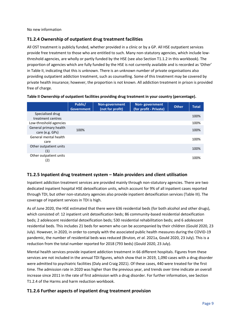No new information

## <span id="page-9-0"></span>**T1.2.4 Ownership of outpatient drug treatment facilities**

All OST treatment is publicly funded, whether provided in a clinic or by a GP. All HSE outpatient services provide free treatment to those who are entitled to such. Many non-statutory agencies, which include lowthreshold agencies, are wholly or partly funded by the HSE (see also Section T1.1.2 in this workbook). The proportion of agencies which are fully funded by the HSE is not currently available and is recorded as 'Other' in Table II, indicating that this is unknown. There is an unknown number of private organisations also providing outpatient addiction treatment, such as counselling. Some of this treatment may be covered by private health insurance; however, the proportion is not known. All addiction treatment in prison is provided free of charge.

|                                           | Public/<br><b>Government</b> | Non-government<br>(not for profit) | <b>Non-government</b><br>(for profit - Private) | <b>Other</b> | <b>Total</b> |
|-------------------------------------------|------------------------------|------------------------------------|-------------------------------------------------|--------------|--------------|
| Specialised drug<br>treatment centres     |                              |                                    |                                                 |              | 100%         |
| Low-threshold agencies                    |                              |                                    |                                                 |              | 100%         |
| General primary health<br>care (e.g. GPs) | 100%                         |                                    |                                                 |              | 100%         |
| General mental health<br>care             |                              |                                    |                                                 |              | 100%         |
| Other outpatient units<br>(1)             |                              |                                    |                                                 |              | 100%         |
| Other outpatient units<br>(2)             |                              |                                    |                                                 |              | 100%         |

## **Table II Ownership of outpatient facilities providing drug treatment in your country (percentage).**

## <span id="page-9-1"></span>**T1.2.5 Inpatient drug treatment system – Main providers and client utilisation**

Inpatient addiction treatment services are provided mainly through non-statutory agencies. There are two dedicated inpatient hospital HSE detoxification units, which account for 9% of all inpatient cases reported through TDI, but other non-statutory agencies also provide inpatient detoxification services (Table III). The coverage of inpatient services in TDI is high.

As of June 2020, the HSE estimated that there were 636 residential beds (for both alcohol and other drugs), which consisted of: 12 inpatient unit detoxification beds; 86 community-based residential detoxification beds; 2 adolescent residential detoxification beds; 530 residential rehabilitation beds; and 6 adolescent residential beds. This includes 21 beds for women who can be accompanied by their children (Gould 2020, 23 July). However, in 2020, in order to comply with the associated public health measures during the COVID-19 pandemic, the number of residential beds was reduced (Bruton*, et al.* 2021a, Gould 2020, 23 July). This is a reduction from the total number reported for 2018 (793 beds) (Gould 2020, 23 July).

Mental health services provide inpatient addiction treatment in 66 different hospitals. Figures from these services are not included in the annual TDI figures, which show that in 2019, 1,090 cases with a drug disorder were admitted to psychiatric facilities (Daly and Craig 2021). Of these cases, 440 were treated for the first time. The admission rate in 2020 was higher than the previous year, and trends over time indicate an overall increase since 2011 in the rate of first admission with a drug disorder. For further information, see Section T1.2.4 of the Harms and harm reduction workbook.

## <span id="page-9-2"></span>**T1.2.6 Further aspects of inpatient drug treatment provision**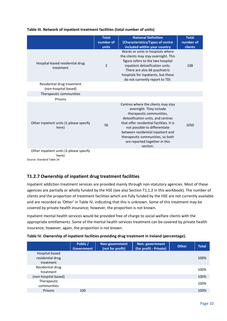|                                                    | <b>Total</b><br>number of<br>units | <b>National Definition</b><br>(Characteristics/Types of centre<br>included within your country                                                                                                                                                                                                                                    | <b>Total</b><br>number of<br>clients |
|----------------------------------------------------|------------------------------------|-----------------------------------------------------------------------------------------------------------------------------------------------------------------------------------------------------------------------------------------------------------------------------------------------------------------------------------|--------------------------------------|
| Hospital-based residential drug<br>treatment       | 2                                  | Wards or units in hospitals where<br>the clients may stay overnight. This<br>figure refers to the two hospital<br>inpatient detoxification units.<br>There are also 66 psychiatric<br>hospitals for inpatients, but these<br>do not currently report to TDI.                                                                      | 108                                  |
| Residential drug treatment<br>(non-hospital based) |                                    |                                                                                                                                                                                                                                                                                                                                   |                                      |
| Therapeutic communities                            |                                    |                                                                                                                                                                                                                                                                                                                                   |                                      |
| Prisons                                            |                                    |                                                                                                                                                                                                                                                                                                                                   |                                      |
| Other inpatient units (1.please specify<br>here)   | 56                                 | Centres where the clients may stay<br>overnight. They include<br>therapeutic communities,<br>detoxification units, and centres<br>that offer residential facilities. It is<br>not possible to differentiate<br>between residential inpatient and<br>therapeutic communities, so both<br>are reported together in this<br>section. | 1050                                 |
| Other inpatient units (2.please specify<br>here)   |                                    |                                                                                                                                                                                                                                                                                                                                   |                                      |

## **Table III. Network of inpatient treatment facilities (total number of units)**

Source: Standard Table 24

## <span id="page-10-0"></span>**T1.2.7 Ownership of inpatient drug treatment facilities**

Inpatient addiction treatment services are provided mainly through non-statutory agencies. Most of these agencies are partially or wholly funded by the HSE (see also Section T1.1.2 in this workbook). The number of clients and the proportion of treatment facilities which are fully funded by the HSE are not currently available and are recorded as 'Other' in Table IV, indicating that this is unknown. Some of this treatment may be covered by private health insurance; however, the proportion is not known.

Inpatient mental health services would be provided free of charge to social welfare clients with the appropriate entitlements. Some of the mental health services treatment can be covered by private health insurance; however, again, the proportion is not known.

|                      | Public /<br><b>Government</b> | Non-government<br>(not for profit) | Non-government<br>(for profit - Private) | <b>Other</b> | <b>Total</b> |
|----------------------|-------------------------------|------------------------------------|------------------------------------------|--------------|--------------|
| Hospital-based       |                               |                                    |                                          |              |              |
| residential drug     |                               |                                    |                                          |              | 100%         |
| treatment            |                               |                                    |                                          |              |              |
| Residential drug     |                               |                                    |                                          |              | 100%         |
| treatment            |                               |                                    |                                          |              |              |
| (non-hospital based) |                               |                                    |                                          |              | 100%         |
| Therapeutic          |                               |                                    |                                          |              | 100%         |
| communities          |                               |                                    |                                          |              |              |
| Prisons              | 100                           |                                    |                                          |              | 100%         |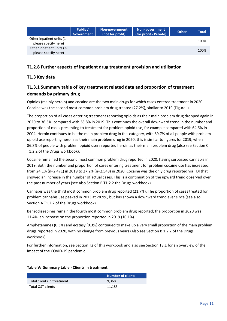|                                                    | Public /<br>Government | Non-government<br>(not for profit) | Non-government<br>(for profit - Private) | <b>Other</b> | Total |
|----------------------------------------------------|------------------------|------------------------------------|------------------------------------------|--------------|-------|
| Other inpatient units (1 -<br>please specify here) |                        |                                    |                                          |              | 100%  |
| Other inpatient units (2-<br>please specify here)  |                        |                                    |                                          |              | 100%  |

## <span id="page-11-0"></span>**T1.2.8 Further aspects of inpatient drug treatment provision and utilisation**

## <span id="page-11-1"></span>**T1.3 Key data**

## <span id="page-11-2"></span>**T1.3.1 Summary table of key treatment related data and proportion of treatment demands by primary drug**

Opioids (mainly heroin) and cocaine are the two main drugs for which cases entered treatment in 2020. Cocaine was the second most common problem drug treated (27.2%), similar to 2019 (Figure I).

The proportion of all cases entering treatment reporting opioids as their main problem drug dropped again in 2020 to 36.5%, compared with 38.8% in 2019. This continues the overall downward trend in the number and proportion of cases presenting to treatment for problem opioid use, for example compared with 64.6% in 2004. Heroin continues to be the main problem drug in this category, with 89.7% of all people with problem opioid use reporting heroin as their main problem drug in 2020; this is similar to figures for 2019, when 86.8% of people with problem opioid users reported heroin as their main problem drug (also see Section C T1.2.2 of the Drugs workbook).

Cocaine remained the second most common problem drug reported in 2020, having surpassed cannabis in 2019. Both the number and proportion of cases entering treatment for problem cocaine use has increased, from 24.1% (n=2,471) in 2019 to 27.2% (n=2,548) in 2020. Cocaine was the only drug reported via TDI that showed an increase in the number of actual cases. This is a continuation of the upward trend observed over the past number of years (see also Section B T1.2.2 the Drugs workbook).

Cannabis was the third most common problem drug reported (21.7%). The proportion of cases treated for problem cannabis use peaked in 2013 at 28.9%, but has shown a downward trend ever since (see also Section A T1.2.2 of the Drugs workbook).

Benzodiazepines remain the fourth most common problem drug reported; the proportion in 2020 was 11.4%, an increase on the proportion reported in 2019 (10.1%).

Amphetamines (0.3%) and ecstasy (0.3%) continued to make up a very small proportion of the main problem drugs reported in 2020, with no change from previous years (Also see Section B 1.2.2 of the Drugs workbook).

For further information, see Section T2 of this workbook and also see Section T3.1 for an overview of the impact of the COVID-19 pandemic.

|                            | Number of clients |
|----------------------------|-------------------|
| Total clients in treatment | 9,368             |
| Total OST clients          | 11.185            |

## **Table V: Summary table - Clients in treatment**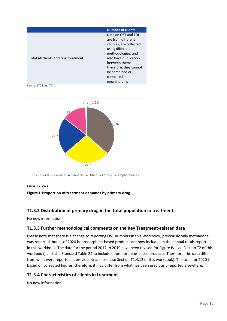|                                      | <b>Number of clients</b>                                                                                                                                                                                                        |
|--------------------------------------|---------------------------------------------------------------------------------------------------------------------------------------------------------------------------------------------------------------------------------|
| Total All clients entering treatment | Data on OST and TDI<br>are from different<br>sources, are collected<br>using different<br>methodologies, and<br>also have duplication<br>between them;<br>therefore, they cannot<br>be combined or<br>compared<br>meaningfully. |

Source: ST24 and TDI



Source: TDI 2021

#### **Figure I. Proportion of treatment demands by primary drug**

## <span id="page-12-0"></span>**T1.3.2 Distribution of primary drug in the total population in treatment**

No new information

## <span id="page-12-1"></span>**T1.3.3 Further methodological comments on the Key Treatment-related data**

Please note that there is a change to reporting OST numbers in this Workbook; previously only methadone was reported, but as of 2020 buprenorphine-based products are now included in the annual totals reported in this workbook. The data for the period 2017 to 2019 have been revised for Figure IV (see Section T2 of this workbook) and also Standard Table 24 to include buprenorphine-based products. Therefore, the data differ from what were reported in previous years (see also Section T1.4.12 of this workbook). The total for 2020 is based on corrected figures; therefore, it may differ from what has been previously reported elsewhere.

## <span id="page-12-2"></span>**T1.3.4 Characteristics of clients in treatment**

No new information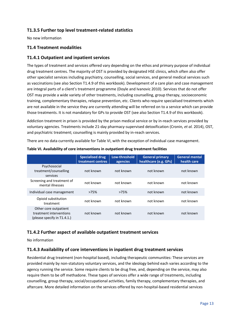## <span id="page-13-0"></span>**T1.3.5 Further top level treatment-related statistics**

No new information

## <span id="page-13-1"></span>**T1.4 Treatment modalities**

## <span id="page-13-2"></span>**T1.4.1 Outpatient and inpatient services**

The types of treatment and services offered vary depending on the ethos and primary purpose of individual drug treatment centres. The majority of OST is provided by designated HSE clinics, which often also offer other specialist services including psychiatry, counselling, social services, and general medical services such as vaccinations (see also Section T1.4.9 of this workbook). Development of a care plan and case management are integral parts of a client's treatment programme (Doyle and Ivanovic 2010). Services that do not offer OST may provide a wide variety of other treatments, including counselling, group therapy, socioeconomic training, complementary therapies, relapse prevention, etc. Clients who require specialised treatments which are not available in the service they are currently attending will be referred on to a service which can provide those treatments. It is not mandatory for GPs to provide OST (see also Section T1.4.9 of this workbook).

Addiction treatment in prison is provided by the prison medical service or by in-reach services provided by voluntary agencies. Treatments include 21-day pharmacy-supervised detoxification (Cronin*, et al.* 2014), OST, and psychiatric treatment; counselling is mainly provided by in-reach services.

There are no data currently available for Table VI, with the exception of individual case management.

|                                                                                 | <b>Specialised drug</b><br>treatment centres | Low-threshold<br>agencies | <b>General primary</b><br>healthcare (e.g. GPs) | <b>General mental</b><br>health care |
|---------------------------------------------------------------------------------|----------------------------------------------|---------------------------|-------------------------------------------------|--------------------------------------|
| Psychosocial<br>treatment/counselling<br>services                               | not known                                    | not known                 | not known                                       | not known                            |
| Screening and treatment of<br>mental illnesses                                  | not known                                    | not known                 | not known                                       | not known                            |
| Individual case management                                                      | >75%                                         | >75%                      | not known                                       | not known                            |
| Opioid substitution<br>treatment                                                | not known                                    | not known                 | not known                                       | not known                            |
| Other core outpatient<br>treatment interventions<br>(please specify in T1.4.1.) | not known                                    | not known                 | not known                                       | not known                            |

**Table VI. Availability of core interventions in outpatient drug treatment facilities**

## <span id="page-13-3"></span>**T1.4.2 Further aspect of available outpatient treatment services**

No information

## <span id="page-13-4"></span>**T1.4.3 Availability of core interventions in inpatient drug treatment services**

Residential drug treatment (non-hospital based), including therapeutic communities: These services are provided mainly by non-statutory voluntary services, and the ideology behind each varies according to the agency running the service. Some require clients to be drug free, and, depending on the service, may also require them to be off methadone. These types of services offer a wide range of treatments, including counselling, group therapy, social/occupational activities, family therapy, complementary therapies, and aftercare. More detailed information on the services offered by non-hospital-based residential services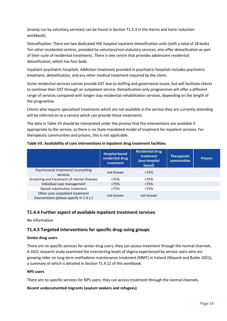(mainly run by voluntary services) can be found in Section T1.5.3 in the Harms and harm reduction workbook).

Detoxification: There are two dedicated HSE hospital inpatient detoxification units (with a total of 18 beds). Ten other residential centres, provided by voluntary/non-statutory services, also offer detoxification as part of their suite of residential treatments. There is one centre that provides adolescent residential detoxification, which has four beds.

Inpatient psychiatric hospitals: Addiction treatment provided in psychiatric hospitals includes psychiatric treatment, detoxification, and any other medical treatment required by the client.

Some residential services cannot provide OST due to staffing and governance issues, but will facilitate clients to continue their OST through an outpatient service. Detoxification-only programmes will offer a different range of services compared with longer-stay residential rehabilitation services, depending on the length of the programme.

Clients who require specialised treatments which are not available in the service they are currently attending will be referred on to a service which can provide those treatments.

The data in Table VII should be interpreted under the proviso that the interventions are available if appropriate to the service, as there is no State-mandated model of treatment for inpatient services. For therapeutic communities and prisons, this is not applicable.

|  | Table VII. Availability of core interventions in inpatient drug treatment facilities. |  |
|--|---------------------------------------------------------------------------------------|--|
|--|---------------------------------------------------------------------------------------|--|

|                                                                             | <b>Hospital-based</b><br>residential drug<br>treatment | <b>Residential drug</b><br>treatment<br>(non-hospital<br>based) | <b>Therapeutic</b><br><b>communities</b> | <b>Prisons</b> |
|-----------------------------------------------------------------------------|--------------------------------------------------------|-----------------------------------------------------------------|------------------------------------------|----------------|
| Psychosocial treatment/ counselling<br>services                             | not known                                              | >75%                                                            |                                          |                |
| Screening and treatment of mental illnesses                                 | >75%                                                   | >75%                                                            |                                          |                |
| Individual case management                                                  | >75%                                                   | >75%                                                            |                                          |                |
| Opioid substitution treatment                                               | >75%                                                   | >75%                                                            |                                          |                |
| Other core outpatient treatment<br>interventions (please specify in 1.4.1.) | not known                                              | not known                                                       |                                          |                |

## <span id="page-14-0"></span>**T1.4.4 Further aspect of available inpatient treatment services**

No information

## <span id="page-14-1"></span>**T1.4.5 Targeted interventions for specific drug-using groups**

## **Senior drug users**

There are no specific services for senior drug users; they can access treatment through the normal channels. A 2021 research study examined the intersecting levels of stigma experienced by service users who are growing older on long-term methadone maintenance treatment (MMT) in Ireland (Mayock and Butler 2021), a summary of which is detailed in Section T1.4.12 of this workbook.

#### **NPS users**

There are no specific services for NPS users; they can access treatment through the normal channels.

## **Recent undocumented migrants (asylum seekers and refugees)**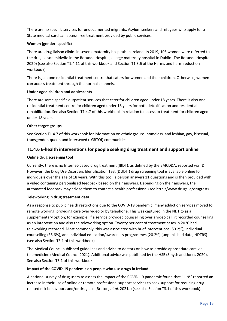There are no specific services for undocumented migrants. Asylum seekers and refugees who apply for a State medical card can access free treatment provided by public services.

## **Women (gender- specific)**

There are drug liaison clinics in several maternity hospitals in Ireland. In 2019, 105 women were referred to the drug liaison midwife in the Rotunda Hospital, a large maternity hospital in Dublin (The Rotunda Hospital 2020) (see also Section T1.4.11 of this workbook and Section T1.3.6 of the Harms and harm reduction workbook).

There is just one residential treatment centre that caters for women and their children. Otherwise, women can access treatment through the normal channels.

## **Under-aged children and adolescents**

There are some specific outpatient services that cater for children aged under 18 years. There is also one residential treatment centre for children aged under 18 years for both detoxification and residential rehabilitation. See also Section T1.4.7 of this workbook in relation to access to treatment for children aged under 18 years.

## **Other target groups**

See Section T1.4.7 of this workbook for information on ethnic groups, homeless, and lesbian, gay, bisexual, transgender, queer, and intersexed (LGBTQI) communities.

## <span id="page-15-0"></span>**T1.4.6 E-health interventions for people seeking drug treatment and support online**

## **Online drug screening tool**

Currently, there is no Internet-based drug treatment (IBDT), as defined by the EMCDDA, reported via TDI. However, the Drug Use Disorders Identification Test (DUDIT) drug screening tool is available online for individuals over the age of 18 years. With this tool, a person answers 11 questions and is then provided with a video containing personalised feedback based on their answers. Depending on their answers, the automated feedback may advise them to contact a health professional (see http://www.drugs.ie/drugtest).

## **Teleworking in drug treatment data**

As a response to public health restrictions due to the COVID-19 pandemic, many addiction services moved to remote working, providing care over video or by telephone. This was captured in the NDTRS as a supplementary option; for example, if a service provided counselling over a video call, it recorded counselling as an intervention and also the teleworking option. Twenty per cent of treatment cases in 2020 had teleworking recorded. Most commonly, this was associated with brief interventions (50.2%), individual counselling (35.6%), and individual education/awareness programmes (20.2%) (unpublished data, NDTRS) (see also Section T3.1 of this workbook).

The Medical Council published guidelines and advice to doctors on how to provide appropriate care via telemedicine (Medical Council 2021). Additional advice was published by the HSE (Smyth and Jones 2020). See also Section T3.1 of this workbook.

## **Impact of the COVID-19 pandemic on people who use drugs in Ireland**

A national survey of drug users to assess the impact of the COVID-19 pandemic found that 11.9% reported an increase in their use of online or remote professional support services to seek support for reducing drugrelated risk behaviours and/or drug use (Bruton*, et al.* 2021a) (see also Section T3.1 of this workbook).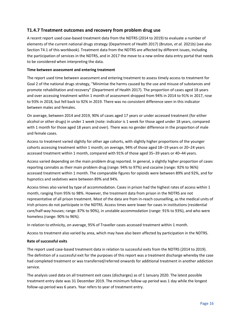## <span id="page-16-0"></span>**T1.4.7 Treatment outcomes and recovery from problem drug use**

A recent report used case-based treatment data from the NDTRS (2014 to 2019) to evaluate a number of elements of the current national drugs strategy (Department of Health 2017) (Bruton*, et al.* 2021b) (see also Section T4.1 of this workbook). Treatment data from the NDTRS are affected by different issues, including the participation of services in the NDTRS, and in 2017 the move to a new online data entry portal that needs to be considered when interpreting the data.

## **Time between assessment and entering treatment**

The report used time between assessment and entering treatment to assess timely access to treatment for Goal 2 of the national drugs strategy, "Minimise the harms caused by the use and misuse of substances and promote rehabilitation and recovery" (Department of Health 2017). The proportion of cases aged 18 years and over accessing treatment within 1 month of assessment dropped from 94% in 2014 to 91% in 2017, rose to 93% in 2018, but fell back to 92% in 2019. There was no consistent difference seen in this indicator between males and females.

On average, between 2014 and 2019, 90% of cases aged 17 years or under accessed treatment (for either alcohol or other drugs) in under 1 week (note: indicator is 1 week for those aged under 18 years, compared with 1 month for those aged 18 years and over). There was no gender difference in the proportion of male and female cases.

Access to treatment varied slightly for other age cohorts, with slightly higher proportions of the younger cohorts accessing treatment within 1 month; on average, 94% of those aged 18–19 years or 20–24 years accessed treatment within 1 month, compared with 91% of those aged 35–39 years or 40–44 years.

Access varied depending on the main problem drug reported. In general, a slightly higher proportion of cases reporting cannabis as their main problem drug (range: 94% to 97%) and cocaine (range: 92% to 96%) accessed treatment within 1 month. The comparable figures for opioids were between 89% and 92%, and for hypnotics and sedatives were between 89% and 94%.

Access times also varied by type of accommodation. Cases in prison had the highest rates of access within 1 month, ranging from 95% to 98%. However, the treatment data from prison in the NDTRS are not representative of all prison treatment. Most of the data are from in-reach counselling, as the medical units of Irish prisons do not participate in the NDTRS. Access times were lower for cases in institutions (residential care/half-way houses; range: 87% to 90%), in unstable accommodation (range: 91% to 93%), and who were homeless (range: 90% to 96%).

In relation to ethnicity, on average, 95% of Traveller cases accessed treatment within 1 month.

Access to treatment also varied by area, which may have also been affected by participation in the NDTRS.

## **Rate of successful exits**

The report used case-based treatment data in relation to successful exits from the NDTRS (2014 to 2019). The definition of a successful exit for the purposes of this report was a treatment discharge whereby the case had completed treatment or was transferred/referred onwards for additional treatment in another addiction service.

The analysis used data on all treatment exit cases (discharges) as of 1 January 2020. The latest possible treatment entry date was 31 December 2019. The minimum follow-up period was 1 day while the longest follow-up period was 6 years. Year refers to year of treatment entry.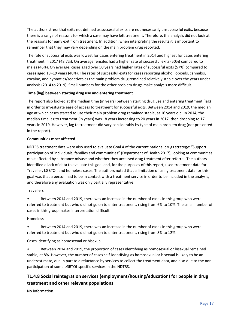The authors stress that exits not defined as successful exits are not necessarily unsuccessful exits, because there is a range of reasons for which a case may have left treatment. Therefore, the analysis did not look at the reasons for early exit from treatment. In addition, when interpreting the results it is important to remember that they may vary depending on the main problem drug reported.

The rate of successful exits was lowest for cases entering treatment in 2014 and highest for cases entering treatment in 2017 (48.7%). On average females had a higher rate of successful exits (50%) compared to males (46%). On average, cases aged over 50 years had higher rates of successful exits (57%) compared to cases aged 18–19 years (40%). The rates of successful exits for cases reporting alcohol, opioids, cannabis, cocaine, and hypnotics/sedatives as the main problem drug remained relatively stable over the years under analysis (2014 to 2019). Small numbers for the other problem drugs make analysis more difficult.

## **Time (lag) between starting drug use and entering treatment**

The report also looked at the median time (in years) between starting drug use and entering treatment (lag) in order to investigate ease of access to treatment for successful exits. Between 2014 and 2019, the median age at which cases started to use their main problem drug remained stable, at 16 years old. In 2014, the median time lag to treatment (in years) was 18 years increasing to 20 years in 2017, then dropping to 17 years in 2019. However, lag to treatment did vary considerably by type of main problem drug (not presented in the report).

## **Communities most affected**

NDTRS treatment data were also used to evaluate Goal 4 of the current national drugs strategy: "Support participation of individuals, families and communities" (Department of Health 2017), looking at communities most affected by substance misuse and whether they accessed drug treatment after referral. The authors identified a lack of data to evaluate this goal and, for the purposes of this report, used treatment data for Traveller, LGBTQI, and homeless cases. The authors noted that a limitation of using treatment data for this goal was that a person had to be in contact with a treatment service in order to be included in the analysis, and therefore any evaluation was only partially representative.

## **Travellers**

• Between 2014 and 2019, there was an increase in the number of cases in this group who were referred to treatment but who did not go on to enter treatment, rising from 6% to 10%. The small number of cases in this group makes interpretation difficult.

## Homeless

• Between 2014 and 2019, there was an increase in the number of cases in this group who were referred to treatment but who did not go on to enter treatment, rising from 8% to 12%.

Cases identifying as homosexual or bisexual

• Between 2014 and 2019, the proportion of cases identifying as homosexual or bisexual remained stable, at 8%. However, the number of cases self-identifying as homosexual or bisexual is likely to be an underestimate, due in part to a reluctance by services to collect the treatment data, and also due to the nonparticipation of some LGBTQI-specific services in the NDTRS.

## <span id="page-17-0"></span>**T1.4.8 Social reintegration services (employment/housing/education) for people in drug treatment and other relevant populations**

No information.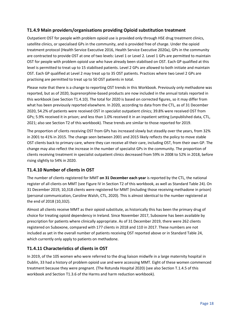## <span id="page-18-0"></span>**T1.4.9 Main providers/organisations providing Opioid substitution treatment**

Outpatient OST for people with problem opioid use is provided only through HSE drug treatment clinics, satellite clinics, or specialised GPs in the community, and is provided free of charge. Under the opioid treatment protocol (Health Service Executive 2016, Health Service Executive 2020a), GPs in the community are contracted to provide OST at one of two levels: Level 1 or Level 2. Level 1 GPs are permitted to maintain OST for people with problem opioid use who have already been stabilised on OST. Each GP qualified at this level is permitted to treat up to 15 stabilised patients. Level 2 GPs are allowed to both initiate and maintain OST. Each GP qualified at Level 2 may treat up to 35 OST patients. Practices where two Level 2 GPs are practising are permitted to treat up to 50 OST patients in total.

Please note that there is a change to reporting OST trends in this Workbook. Previously only methadone was reported, but as of 2020, buprenorphine-based products are now included in the annual totals reported in this workbook (see Section T1.4.10). The total for 2020 is based on corrected figures, so it may differ from what has been previously reported elsewhere. In 2020, according to data from the CTL, as of 31 December 2020, 54.2% of patients were received OST in specialist outpatient clinics; 39.8% were received OST from GPs; 5.9% received it in prison; and less than 1.0% received it in an inpatient setting (unpublished data, CTL, 2021; also see Section T2 of this workbook). These trends are similar to those reported for 2019.

The proportion of clients receiving OST from GPs has increased slowly but steadily over the years, from 32% in 2001 to 41% in 2015. The change seen between 2001 and 2015 likely reflects the policy to move stable OST clients back to primary care, where they can receive all their care, including OST, from their own GP. The change may also reflect the increase in the number of specialist GPs in the community. The proportion of clients receiving treatment in specialist outpatient clinics decreased from 59% in 2008 to 52% in 2018, before rising slightly to 54% in 2020.

## <span id="page-18-1"></span>**T1.4.10 Number of clients in OST**

The number of clients registered for MMT **on 31 December each year** is reported by the CTL, the national register of all clients on MMT (see Figure IV in Section T2 of this workbook, as well as Standard Table 24). On 31 December 2019, 10,318 clients were registered for MMT (including those receiving methadone in prison) (personal communication, Caroline Walsh, CTL, 2020). This is almost identical to the number registered at the end of 2018 (10,332).

Almost all clients receive MMT as their opioid substitute, as historically this has been the primary drug of choice for treating opioid dependency in Ireland. Since November 2017, Suboxone has been available by prescription for patients where clinically appropriate. As of 31 December 2019, there were 262 clients registered on Suboxone, compared with 177 clients in 2018 and 110 in 2017. These numbers are not included as yet in the overall number of patients receiving OST reported above or in Standard Table 24, which currently only apply to patients on methadone.

## <span id="page-18-2"></span>**T1.4.11 Characteristics of clients in OST**

In 2019, of the 105 women who were referred to the drug liaison midwife in a large maternity hospital in Dublin, 33 had a history of problem opioid use and were accessing MMT. Eight of these women commenced treatment because they were pregnant. (The Rotunda Hospital 2020) (see also Section T.1.4.5 of this workbook and Section T1.3.6 of the Harms and harm reduction workbook).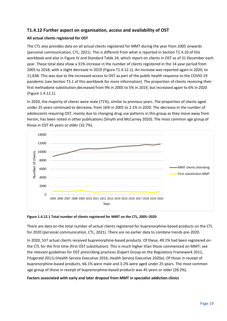## <span id="page-19-0"></span>**T1.4.12 Further aspect on organisation, access and availability of OST**

## **All actual clients registered for OST**

The CTL also provides data on all actual clients registered for MMT during the year from 2005 onwards (personal communication, CTL, 2021). This is different from what is reported in Section T1.4.10 of this workbook and also in Figure IV and Standard Table 24, which report on clients in OST as of 31 December each year. These total data show a 31% increase in the number of clients registered in the 14-year period from 2005 to 2018, with a slight decrease in 2019 (Figure T1.4.12.1). An increase was reported again in 2020, to 11,838. This was due to the increased access to OST as part of the public health response to the COVID-19 pandemic (see Section T3.1 of this workbook for more information). The proportion of clients receiving their first methadone substitution decreased from 9% in 2005 to 5% in 2019, but increased again to 6% in 2020 (Figure 1.4.12.1).

In 2020, the majority of clients were male (71%), similar to previous years. The proportion of clients aged under 25 years continued to decrease, from 16% in 2005 to 2.1% in 2020. The decrease in the number of adolescents requiring OST, mainly due to changing drug use patterns in this group as they move away from heroin, has been noted in other publications (Smyth and McCarney 2020). The most common age group of those in OST 45 years or older (32.7%).



#### **Figure 1.4.12.1 Total number of clients registered for MMT on the CTL, 2005–2020**

There are data on the total number of actual clients registered for buprenorphine-based products on the CTL for 2020 (personal communication, CTL, 2021). There are no earlier data to combine trends pre-2020.

In 2020, 537 actual clients received buprenorphine-based products. Of these, 49.1% had been registered on the CTL for the first time (first OST substitution). This is much higher than those commenced on MMT; see the relevant guidelines for OST prescribing practices (Expert Group on the Regulatory Framework 2011, Fitzgerald 2011) (Health Service Executive 2016, Health Service Executive 2020a). Of those in receipt of buprenorphine-based products, 66.1% were male and 3.2% were aged under 25 years. The most common age group of those in receipt of buprenorphine-based products was 45 years or older (28.2%).

## **Factors associated with early and later dropout from MMT in specialist addiction clinics**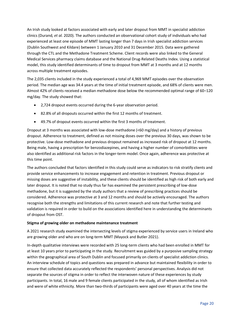An Irish study looked at factors associated with early and later dropout from MMT in specialist addiction clinics (Durand*, et al.* 2020). The authors conducted an observational cohort study of individuals who had experienced at least one episode of MMT lasting longer than 7 days in Irish specialist addiction services (Dublin Southwest and Kildare) between 1 January 2010 and 31 December 2015. Data were gathered through the CTL and the Methadone Treatment Scheme. Client records were also linked to the General Medical Services pharmacy claims database and the National Drug-Related Deaths Index. Using a statistical model, this study identified determinants of time to dropout from MMT at 3 months and at 12 months across multiple treatment episodes.

The 2,035 clients included in the study experienced a total of 4,969 MMT episodes over the observation period. The median age was 34.4 years at the time of initial treatment episode, and 68% of clients were men. Almost 42% of clients received a median methadone dose below the recommended optimal range of 60–120 mg/day. The study showed that:

- 2,724 dropout events occurred during the 6-year observation period.
- 82.8% of all dropouts occurred within the first 12 months of treatment.
- 49.7% of dropout events occurred within the first 3 months of treatment.

Dropout at 3 months was associated with low-dose methadone (<60 mg/day) and a history of previous dropout. Adherence to treatment, defined as not missing doses over the previous 30 days, was shown to be protective. Low-dose methadone and previous dropout remained as increased risk of dropout at 12 months. Being male, having a prescription for benzodiazepines, and having a higher number of comorbidities were also identified as additional risk factors in the longer-term model. Once again, adherence was protective at this time point.

The authors concluded that factors identified in this study could serve as indicators to risk stratify clients and provide service enhancements to increase engagement and retention in treatment. Previous dropout or missing doses are suggestive of instability, and these clients should be identified as high risk of both early and later dropout. It is noted that no study thus far has examined the persistent prescribing of low-dose methadone, but it is suggested by the study authors that a review of prescribing practices should be considered. Adherence was protective at 3 and 12 months and should be actively encouraged. The authors recognise both the strengths and limitations of this current research and note that further testing and validation is required in order to build on the associations identified here in understanding the determinants of dropout from OST.

## **Stigma of growing older on methadone maintenance treatment**

A 2021 research study examined the intersecting levels of stigma experienced by service users in Ireland who are growing older and who are on long-term MMT (Mayock and Butler 2021).

In-depth qualitative interviews were recorded with 25 long-term clients who had been enrolled in MMT for at least 10 years prior to participating in the study. Recruitment was guided by a purposive sampling strategy within the geographical area of South Dublin and focused primarily on clients of specialist addiction clinics. An interview schedule of topics and questions was prepared in advance but maintained flexibility in order to ensure that collected data accurately reflected the respondents' personal perspectives. Analysis did not separate the sources of stigma in order to reflect the interwoven nature of these experiences by study participants. In total, 16 male and 9 female clients participated in the study, all of whom identified as Irish and were of white ethnicity. More than two-thirds of participants were aged over 40 years at the time the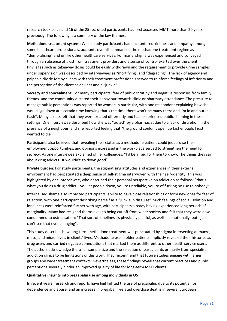research took place and 16 of the 25 recruited participants had first accessed MMT more than 20 years previously. The following is a summary of the key themes.

**Methadone treatment system:** While study participants had encountered kindness and empathy among some healthcare professionals, accounts overall summarised the methadone treatment regime as "demoralising" and unlike other healthcare services. For many, stigma was experienced and conveyed through an absence of trust from treatment providers and a sense of control exerted over the client. Privileges such as takeaway doses could be easily withdrawn and the requirement to provide urine samples under supervision was described by interviewees as "mortifying" and "degrading". The lack of agency and palpable divide felt by clients with their treatment professionals served to reinforce feelings of inferiority and the perception of the client as deviant and a "junkie".

**Secrecy and concealment:** For many participants, fear of public scrutiny and negative responses from family, friends, and the community dictated their behaviour towards clinic or pharmacy attendance. The pressure to manage public perceptions was reported by women in particular, with one respondent explaining how she would "go down at a certain time knowing that's the time there won't be many there and I'm in and out in a flash". Many clients felt that they were treated differently and had experienced public shaming in these settings. One interviewee described how she was "outed" by a pharmacist due to a lack of discretion in the presence of a neighbour, and she reported feeling that "the ground couldn't open up fast enough, I just wanted to die".

Participants also believed that revealing their status as a methadone patient could jeopardise their employment opportunities, and opinions expressed in the workplace served to strengthen the need for secrecy. As one interviewee explained of her colleagues, "I'd be afraid for them to know. The things they say about drug addicts…It wouldn't go down good".

**Private burden**: For study participants, the stigmatising attitudes and experiences in their external environment had perpetuated a deep sense of self-stigma interwoven with their self-identity. This was highlighted by one interviewee, who described their personal perspective on addiction as follows: "that's what you do as a drug addict – you let people down, you're unreliable, you're of fucking no use to nobody".

Internalised shame also impacted participants' ability to have close relationships or form new ones for fear of rejection, with one participant describing herself as a "junkie in disguise". Such feelings of social isolation and loneliness were reinforced further with age, with participants already having experienced long periods of marginality. Many had resigned themselves to being cut off from wider society and felt that they were now condemned to ostracisation: "That sort of loneliness is physically painful, as well as emotionally, but I just can't see that ever changing".

This study describes how long-term methadone treatment was punctuated by stigma intersecting at macro, meso, and micro levels in clients' lives. Methadone use in older patients implicitly revealed their histories as drug users and carried negative connotations that marked them as different to other health service users. The authors acknowledge the small sample size and the selection of participants primarily from specialist addiction clinics to be limitations of this work. They recommend that future studies engage with larger groups and wider treatment contexts. Nevertheless, these findings reveal that current practices and public perceptions severely hinder an improved quality of life for long-term MMT clients.

#### **Qualitative insights into pregabalin use among individuals in OST**

In recent years, research and reports have highlighted the use of pregabalin, due to its potential for dependence and abuse, and an increase in pregabalin-related overdose deaths in several European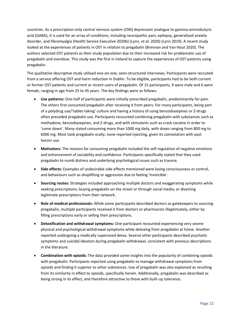countries. As a prescription-only central nervous system (CNS) depressant analogue to gamma-aminobutyric acid (GABA), it is used for an array of conditions, including neuropathic pain, epilepsy, generalised anxiety disorder, and fibromyalgia (Health Service Executive 2020b) (Lynn*, et al.* 2020) (Lynn 2019). A recent study looked at the experiences of patients in OST in relation to pregabalin (Brennan and Van Hout 2020). The authors selected OST patients as their study population due to their increased risk for problematic use of pregabalin and overdose. This study was the first in Ireland to capture the experiences of OST patients using pregabalin.

The qualitative descriptive study utilised one-on-one, semi-structured interviews. Participants were recruited from a service offering OST and harm reduction in Dublin. To be eligible, participants had to be both current or former OST patients and current or recent users of pregabalin. Of 15 participants, 9 were male and 6 were female, ranging in age from 25 to 45 years. The key findings were as follows:

- **Use patterns:** One-half of participants were initially prescribed pregabalin, predominantly for pain. The others first consumed pregabalin after receiving it from peers. For many participants, being part of a polydrug use/'tablet-taking' culture and having a history of using benzodiazepines or Z-drugs often preceded pregabalin use. Participants recounted combining pregabalin with substances such as methadone, benzodiazepines, and Z-drugs, and with stimulants such as crack cocaine in order to 'come down'. Many stated consuming more than 1000 mg daily, with doses ranging from 800 mg to 6000 mg. Most took pregabalin orally; none reported injecting, given its connotation with past heroin use.
- **Motivators:** The reasons for consuming pregabalin included the self-regulation of negative emotions and enhancement of sociability and confidence. Participants specifically stated that they used pregabalin to numb distress and underlying psychological issues such as trauma.
- **Side effects:** Examples of undesirable side effects mentioned were losing consciousness or control, and behaviours such as shoplifting or aggression due to feeling 'invincible'.
- **Sourcing routes:** Strategies included approaching multiple doctors and exaggerating symptoms while seeking prescriptions; buying pregabalin on the street or through social media; or diverting legitimate prescriptions from their network.
- **Role of medical professionals:** While some participants described doctors as gatekeepers to sourcing pregabalin, multiple participants received it from doctors or pharmacists illegitimately, either by filling prescriptions early or selling their prescriptions.
- **Detoxification and withdrawal symptoms:** One participant recounted experiencing very severe physical and psychological withdrawal symptoms while detoxing from pregabalin at home. Another reported undergoing a medically supervised detox. Several other participants described psychotic symptoms and suicidal ideation during pregabalin withdrawal, consistent with previous descriptions in the literature.
- **Combination with opioids:** The data provided some insights into the popularity of combining opioids with pregabalin. Participants reported using pregabalin to manage withdrawal symptoms from opioids and finding it superior to other substances. Use of pregabalin was also explained as resulting from its similarity in effect to opioids, specifically heroin. Additionally, pregabalin was described as being strong in its effect, and therefore attractive to those with built-up tolerance.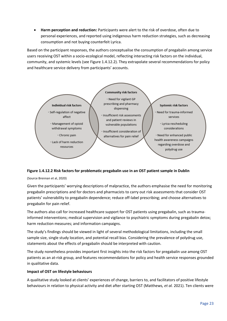• **Harm perception and reduction:** Participants were alert to the risk of overdose, often due to personal experiences, and reported using indigenous harm reduction strategies, such as decreasing consumption and not buying counterfeit Lyrica.

Based on the participant responses, the authors conceptualise the consumption of pregabalin among service users receiving OST within a socio-ecological model, reflecting interacting risk factors on the individual, community, and systemic levels (see Figure 1.4.12.2). They extrapolate several recommendations for policy and healthcare service delivery from participants' accounts.



## **Figure 1.4.12.2 Risk factors for problematic pregabalin use in an OST patient sample in Dublin**

(Source Brennan et al, 2020)

Given the participants' worrying descriptions of malpractice, the authors emphasise the need for monitoring pregabalin prescriptions and for doctors and pharmacists to carry out risk assessments that consider OST patients' vulnerability to pregabalin dependence; reduce off-label prescribing; and choose alternatives to pregabalin for pain relief.

The authors also call for increased healthcare support for OST patients using pregabalin, such as traumainformed interventions; medical supervision and vigilance to psychiatric symptoms during pregabalin detox; harm reduction measures; and information campaigns.

The study's findings should be viewed in light of several methodological limitations, including the small sample size, single study location, and potential recall bias. Considering the prevalence of polydrug use, statements about the effects of pregabalin should be interpreted with caution.

The study nonetheless provides important first insights into the risk factors for pregabalin use among OST patients as an at-risk group, and features recommendations for policy and health service responses grounded in qualitative data.

#### **Impact of OST on lifestyle behaviours**

A qualitative study looked at clients' experiences of change, barriers to, and facilitators of positive lifestyle behaviours in relation to physical activity and diet after starting OST (Matthews*, et al.* 2021). Ten clients were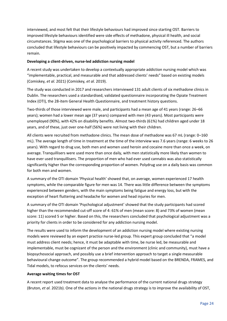interviewed, and most felt that their lifestyle behaviours had improved since starting OST. Barriers to improved lifestyle behaviours identified were side effects of methadone, physical ill health, and social circumstances. Stigma was one of the psychological barriers to physical activity referenced. The authors concluded that lifestyle behaviours can be positively impacted by commencing OST, but a number of barriers remain.

## **Developing a client-driven, nurse-led addiction nursing model**

A recent study was undertaken to develop a contextually appropriate addiction nursing model which was "implementable, practical, and measurable and that addressed clients' needs" based on existing models (Comiskey*, et al.* 2021) (Comiskey*, et al.* 2019).

The study was conducted in 2017 and researchers interviewed 131 adult clients of six methadone clinics in Dublin. The researchers used a standardised, validated questionnaire incorporating the Opiate Treatment Index (OTI), the 28-item General Health Questionnaire, and treatment history questions.

Two-thirds of those interviewed were male, and participants had a mean age of 41 years (range: 26–66 years); women had a lower mean age (37 years) compared with men (43 years). Most participants were unemployed (90%), with 42% on disability benefits. Almost two-thirds (61%) had children aged under 18 years, and of these, just over one-half (56%) were not living with their children.

All clients were recruited from methadone clinics. The mean dose of methadone was 67 mL (range: 0–160 mL). The average length of time in treatment at the time of the interview was 7.6 years (range: 6 weeks to 26 years). With regard to drug use, both men and women used heroin and cocaine more than once a week, on average. Tranquillisers were used more than once daily, with men statistically more likely than women to have ever used tranquillisers. The proportion of men who had ever used cannabis was also statistically significantly higher than the corresponding proportion of women. Polydrug use on a daily basis was common for both men and women.

A summary of the OTI domain 'Physical health' showed that, on average, women experienced 17 health symptoms, while the comparable figure for men was 14. There was little difference between the symptoms experienced between genders, with the main symptoms being fatigue and energy loss, but with the exception of heart fluttering and headache for women and head injuries for men.

A summary of the OTI domain 'Psychological adjustment' showed that the study participants had scored higher than the recommended cut-off score of 4: 61% of men (mean score: 8) and 73% of women (mean score: 11) scored 5 or higher. Based on this, the researchers concluded that psychological adjustment was a priority for clients in order to be considered for any addiction nursing model.

The results were used to inform the development of an addiction nursing model where existing nursing models were reviewed by an expert practice nurse-led group. This expert group concluded that "a model must address client needs; hence, it must be adaptable with time, be nurse led, be measurable and implementable, must be cognizant of the person and the environment (clinic and community), must have a biopsychosocial approach, and possibly use a brief intervention approach to target a single measurable behavioural change outcome". The group recommended a hybrid model based on the BRENDA, FRAMES, and Tidal models, to refocus services on the clients' needs.

## **Average waiting times for OST**

A recent report used treatment data to analyse the performance of the current national drugs strategy (Bruton*, et al.* 2021b). One of the actions in the national drugs strategy is to improve the availability of OST,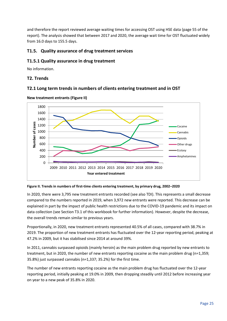and therefore the report reviewed average waiting times for accessing OST using HSE data (page 55 of the report). The analysis showed that between 2017 and 2020, the average wait time for OST fluctuated widely from 16.0 days to 155.5 days.

## <span id="page-25-0"></span>**T1.5. Quality assurance of drug treatment services**

## <span id="page-25-1"></span>**T1.5.1 Quality assurance in drug treatment**

No information.

## <span id="page-25-2"></span>**T2. Trends**

## <span id="page-25-3"></span>**T2.1 Long term trends in numbers of clients entering treatment and in OST**



**New treatment entrants (Figure II)**

## **Figure II. Trends in numbers of first-time clients entering treatment, by primary drug, 2002–2020**

In 2020, there were 3,795 new treatment entrants recorded (see also TDI). This represents a small decrease compared to the numbers reported in 2019, when 3,972 new entrants were reported. This decrease can be explained in part by the impact of public health restrictions due to the COVID-19 pandemic and its impact on data collection (see Section T3.1 of this workbook for further information). However, despite the decrease, the overall trends remain similar to previous years.

Proportionally, in 2020, new treatment entrants represented 40.5% of all cases, compared with 38.7% in 2019. The proportion of new treatment entrants has fluctuated over the 12-year reporting period, peaking at 47.2% in 2009, but it has stabilised since 2014 at around 39%.

In 2011, cannabis surpassed opioids (mainly heroin) as the main problem drug reported by new entrants to treatment, but in 2020, the number of new entrants reporting cocaine as the main problem drug (n=1,359; 35.8%) just surpassed cannabis (n=1,337; 35.2%) for the first time.

The number of new entrants reporting cocaine as the main problem drug has fluctuated over the 12-year reporting period, initially peaking at 19.0% in 2009, then dropping steadily until 2012 before increasing year on year to a new peak of 35.8% in 2020.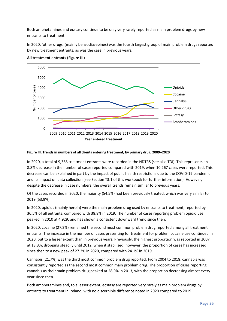Both amphetamines and ecstasy continue to be only very rarely reported as main problem drugs by new entrants to treatment.

In 2020, 'other drugs' (mainly benzodiazepines) was the fourth largest group of main problem drugs reported by new treatment entrants, as was the case in previous years.



**All treatment entrants (Figure III)**

#### **Figure III. Trends in numbers of all clients entering treatment, by primary drug, 2009–2020**

In 2020, a total of 9,368 treatment entrants were recorded in the NDTRS (see also TDI). This represents an 8.8% decrease in the number of cases reported compared with 2019, when 10,267 cases were reported. This decrease can be explained in part by the impact of public health restrictions due to the COVID-19 pandemic and its impact on data collection (see Section T3.1 of this workbook for further information). However, despite the decrease in case numbers, the overall trends remain similar to previous years.

Of the cases recorded in 2020, the majority (54.5%) had been previously treated, which was very similar to 2019 (53.9%).

In 2020, opioids (mainly heroin) were the main problem drug used by entrants to treatment, reported by 36.5% of all entrants, compared with 38.8% in 2019. The number of cases reporting problem opioid use peaked in 2010 at 4,929, and has shown a consistent downward trend since then.

In 2020, cocaine (27.2%) remained the second most common problem drug reported among all treatment entrants. The increase in the number of cases presenting for treatment for problem cocaine use continued in 2020, but to a lesser extent than in previous years. Previously, the highest proportion was reported in 2007 at 13.3%, dropping steadily until 2012, when it stabilised; however, the proportion of cases has increased since then to a new peak of 27.2% in 2020, compared with 24.1% in 2019.

Cannabis (21.7%) was the third most common problem drug reported. From 2004 to 2018, cannabis was consistently reported as the second most common main problem drug. The proportion of cases reporting cannabis as their main problem drug peaked at 28.9% in 2013, with the proportion decreasing almost every year since then.

Both amphetamines and, to a lesser extent, ecstasy are reported very rarely as main problem drugs by entrants to treatment in Ireland, with no discernible difference noted in 2020 compared to 2019.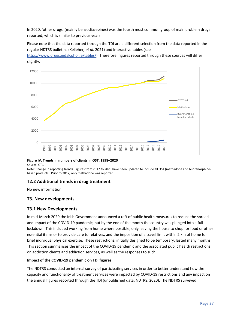In 2020, 'other drugs' (mainly benzodiazepines) was the fourth most common group of main problem drugs reported, which is similar to previous years.

Please note that the data reported through the TDI are a different selection from the data reported in the regular NDTRS bulletins (Kelleher*, et al.* 2021) and interactive tables (see

[https://www.drugsandalcohol.ie/tables/\)](https://www.drugsandalcohol.ie/tables/). Therefore, figures reported through these sources will differ slightly.



## **Figure IV. Trends in numbers of clients in OST, 1998–2020**

Source: CTL.

Note: Change in reporting trends. Figures from 2017 to 2020 have been updated to include all OST (methadone and buprenorphinebased products). Prior to 2017, only methadone was reported.

## **T2.2 Additional trends in drug treatment**

No new information.

## <span id="page-27-0"></span>**T3. New developments**

## <span id="page-27-1"></span>**T3.1 New Developments**

In mid-March 2020 the Irish Government announced a raft of public health measures to reduce the spread and impact of the COVID-19 pandemic, but by the end of the month the country was plunged into a full lockdown. This included working from home where possible, only leaving the house to shop for food or other essential items or to provide care to relatives, and the imposition of a travel limit within 2 km of home for brief individual physical exercise. These restrictions, initially designed to be temporary, lasted many months. This section summarises the impact of the COVID-19 pandemic and the associated public health restrictions on addiction clients and addiction services, as well as the responses to such.

## **Impact of the COVID-19 pandemic on TDI figures**

The NDTRS conducted an internal survey of participating services in order to better understand how the capacity and functionality of treatment services were impacted by COVID-19 restrictions and any impact on the annual figures reported through the TDI (unpublished data, NDTRS, 2020). The NDTRS surveyed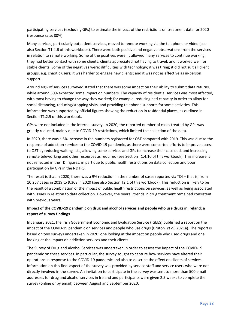participating services (excluding GPs) to estimate the impact of the restrictions on treatment data for 2020 (response rate: 80%).

Many services, particularly outpatient services, moved to remote working via the telephone or video (see also Section T1.4.6 of this workbook). There were both positive and negative observations from the services in relation to remote working. Some of the positives were: it allowed many services to continue working; they had better contact with some clients; clients appreciated not having to travel; and it worked well for stable clients. Some of the negatives were: difficulties with technology; it was tiring; it did not suit all client groups, e.g. chaotic users; it was harder to engage new clients; and it was not as effective as in-person support.

Around 40% of services surveyed stated that there was some impact on their ability to submit data returns, while around 50% expected some impact on numbers. The capacity of residential services was most affected, with most having to change the way they worked; for example, reducing bed capacity in order to allow for social distancing, reducing/stopping visits, and providing telephone supports for some activities. This information was supported by official figures showing the reduction in residential places, as outlined in Section T1.2.5 of this workbook.

GPs were not included in the internal survey. In 2020, the reported number of cases treated by GPs was greatly reduced, mainly due to COVID-19 restrictions, which limited the collection of the data.

In 2020, there was a 6% increase in the numbers registered for OST compared with 2019. This was due to the response of addiction services to the COVID-19 pandemic, as there were concerted efforts to improve access to OST by reducing waiting lists, allowing some services and GPs to increase their caseload, and increasing remote teleworking and other resources as required (see Section T1.4.10 of this workbook). This increase is not reflected in the TDI figures, in part due to public health restrictions on data collection and poor participation by GPs in the NDTRS.

The result is that in 2020, there was a 9% reduction in the number of cases reported via TDI – that is, from 10,267 cases in 2019 to 9,368 in 2020 (see also Section T2.1 of this workbook). This reduction is likely to be the result of a combination of the impact of public health restrictions on services, as well as being associated with issues in relation to data collection. However, the overall trends in drug treatment remained consistent with previous years.

## **Impact of the COVID-19 pandemic on drug and alcohol services and people who use drugs in Ireland: a report of survey findings**

In January 2021, the Irish Government Economic and Evaluation Service (IGEES) published a report on the impact of the COVID-19 pandemic on services and people who use drugs (Bruton*, et al.* 2021a). The report is based on two surveys undertaken in 2020: one looking at the impact on people who used drugs and one looking at the impact on addiction services and their clients.

The Survey of Drug and Alcohol Services was undertaken in order to assess the impact of the COVID-19 pandemic on these services. In particular, the survey sought to capture how services have altered their operations in response to the COVID-19 pandemic and also to describe the effect on clients of services. Information on this final aspect of the survey was provided by service staff and service users who were not directly involved in the survey. An invitation to participate in the survey was sent to more than 500 email addresses for drug and alcohol services in Ireland and participants were given 2.5 weeks to complete the survey (online or by email) between August and September 2020.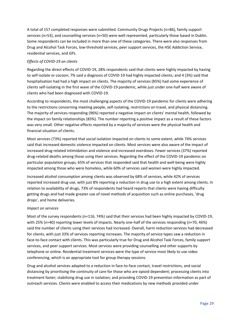A total of 157 completed responses were submitted. Community Drugs Projects (n=86), family support services (n=53), and counselling services (n=50) were well represented, particularly those based in Dublin. Some respondents can be included in more than one of these categories. There were also responses from Drug and Alcohol Task Forces, low-threshold services, peer support services, the HSE Addiction Service, residential services, and GPs.

## *Effects of COVID-19 on clients*

Regarding the direct effects of COVID-19, 28% respondents said that clients were highly impacted by having to self-isolate or cocoon; 7% said a diagnosis of COVID-19 had highly impacted clients; and 4 (3%) said that hospitalisation had had a high impact on clients. The majority of services (85%) had some experience of clients self-isolating in the first wave of the COVID-19 pandemic, while just under one-half were aware of clients who had been diagnosed with COVID-19.

According to respondents, the most challenging aspects of the COVID-19 pandemic for clients were adhering to the restrictions concerning meeting people, self-isolating, restrictions on travel, and physical distancing. The majority of services responding (96%) reported a negative impact on clients' mental health, followed by the impact on family relationships (83%). The number reporting a positive impact as a result of these factors was very small. Other negative effects reported by a majority of services were the physical health and financial situation of clients.

Most services (73%) reported that social isolation impacted on clients to some extent, while 74% services said that increased domestic violence impacted on clients. Most services were also aware of the impact of increased drug-related intimidation and violence and increased overdoses. Fewer services (37%) reported drug-related deaths among those using their services. Regarding the effect of the COVID-19 pandemic on particular population groups, 65% of services that responded said that health and well-being were highly impacted among those who were homeless, while 60% of services said women were highly impacted.

Increased alcohol consumption among clients was observed by 68% of services, while 42% of services reported increased drug use, with just 8% reporting a reduction in drug use to a high extent among clients. In relation to availability of drugs, 73% of respondents had heard reports that clients were having difficulty getting drugs and had made greater use of novel methods of acquisition such as online purchases, 'drug drops', and home deliveries.

## *Impact on services*

Most of the survey respondents (n=116, 74%) said that their services had been highly impacted by COVID-19, with 25% (n=40) reporting lower levels of impacts. Nearly one-half of the services responding (n=70, 46%) said the number of clients using their services had increased. Overall, harm reduction services had decreased for clients, with just 33% of services reporting increases. The majority of service types saw a reduction in face-to-face contact with clients. This was particularly true for Drug and Alcohol Task Forces, family support services, and peer support services. Most services were providing counselling and other supports by telephone or online. Residential treatment services were the type of service most likely to use video conferencing, which is an appropriate tool for group therapy sessions.

Drug and alcohol services adapted to a reduction in face-to-face contact, travel restrictions, and social distancing by prioritising the continuity of care for those who are opioid dependent; processing clients into treatment faster; stabilising drug use in isolation; and providing COVID-19 prevention information as part of outreach services. Clients were enabled to access their medications by new methods provided under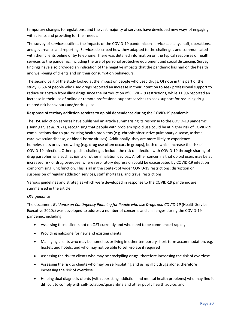temporary changes to regulations, and the vast majority of services have developed new ways of engaging with clients and providing for their needs.

The survey of services outlines the impacts of the COVID-19 pandemic on service capacity, staff, operations, and governance and reporting. Services described how they adapted to the challenges and communicated with their clients online or by telephone. There was detailed information on the typical responses of health services to the pandemic, including the use of personal protective equipment and social distancing. Survey findings have also provided an indication of the negative impacts that the pandemic has had on the health and well-being of clients and on their consumption behaviours.

The second part of the study looked at the impact on people who used drugs. Of note in this part of the study, 6.6% of people who used drugs reported an increase in their intention to seek professional support to reduce or abstain from illicit drugs since the introduction of COVID-19 restrictions, while 11.9% reported an increase in their use of online or remote professional support services to seek support for reducing drugrelated risk behaviours and/or drug use.

## **Response of tertiary addiction services to opioid dependence during the COVID-19 pandemic**

The HSE addiction services have published an article summarising its response to the COVID-19 pandemic (Hennigan*, et al.* 2021), recognising that people with problem opioid use could be at higher risk of COVID-19 complications due to pre-existing health problems (e.g. chronic obstructive pulmonary disease, asthma, cardiovascular disease, or blood-borne viruses). Additionally, they are more likely to experience homelessness or overcrowding (e.g. drug use often occurs in groups), both of which increase the risk of COVID-19 infection. Other specific challenges include the risk of infection with COVID-19 through sharing of drug paraphernalia such as joints or other inhalation devices. Another concern is that opioid users may be at increased risk of drug overdose, where respiratory depression could be exacerbated by COVID-19 infection compromising lung function. This is all in the context of wider COVID-19 restrictions: disruption or suspension of regular addiction services, staff shortages, and travel restrictions.

Various guidelines and strategies which were developed in response to the COVID-19 pandemic are summarised in the article.

## *OST guidance*

The document *Guidance on Contingency Planning for People who use Drugs and COVID-19* (Health Service Executive 2020c) was developed to address a number of concerns and challenges during the COVID-19 pandemic, including:

- Assessing those clients not on OST currently and who need to be commenced rapidly
- Providing naloxone for new and existing clients
- Managing clients who may be homeless or living in other temporary short-term accommodation, e.g. hostels and hotels, and who may not be able to self-isolate if required
- Assessing the risk to clients who may be stockpiling drugs, therefore increasing the risk of overdose
- Assessing the risk to clients who may be self-isolating and using illicit drugs alone, therefore increasing the risk of overdose
- Helping dual diagnosis clients (with coexisting addiction and mental health problems) who may find it difficult to comply with self-isolation/quarantine and other public health advice, and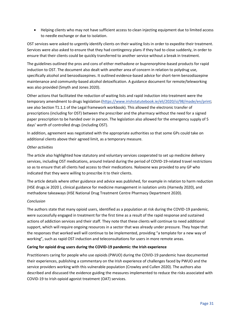• Helping clients who may not have sufficient access to clean injecting equipment due to limited access to needle exchange or due to isolation.

OST services were asked to urgently identify clients on their waiting lists in order to expedite their treatment. Services were also asked to ensure that they had contingency plans if they had to close suddenly, in order to ensure that their clients could be quickly transferred to another service without a break in treatment.

The guidelines outlined the pros and cons of either methadone or buprenorphine-based products for rapid induction to OST. The document also dealt with another area of concern in relation to polydrug use, specifically alcohol and benzodiazepines. It outlined evidence-based advice for short-term benzodiazepine maintenance and community-based alcohol detoxification. A guidance document for remote/teleworking was also provided (Smyth and Jones 2020).

Other actions that facilitated the reduction of waiting lists and rapid induction into treatment were the temporary amendment to drugs legislation [\(https://www.irishstatutebook.ie/eli/2020/si/98/made/en/print;](https://www.irishstatutebook.ie/eli/2020/si/98/made/en/print) see also Section T1.1.1 of the Legal framework workbook). This allowed the electronic transfer of prescriptions (including for OST) between the prescriber and the pharmacy without the need for a signed paper prescription to be handed over in person. The legislation also allowed for the emergency supply of 5 days' worth of controlled drugs (including OST).

In addition, agreement was negotiated with the appropriate authorities so that some GPs could take on additional clients above their agreed limit, as a temporary measure.

## *Other activities*

The article also highlighted how statutory and voluntary services cooperated to set up medicine delivery services, including OST medications, around Ireland during the period of COVID-19-related travel restrictions so as to ensure that all clients had access to their medications. Naloxone was provided to any GP who indicated that they were willing to prescribe it to their clients.

The article details where other guidance and advice was published, for example in relation to harm reduction (HSE drugs.ie 2020 ), clinical guidance for medicine management in isolation units (Harnedy 2020), and methadone takeaways (HSE National Drug Treatment Centre Pharmacy Department 2020).

## *Conclusion*

The authors state that many opioid users, identified as a population at risk during the COVID-19 pandemic, were successfully engaged in treatment for the first time as a result of the rapid response and sustained actions of addiction services and their staff. They note that these clients will continue to need additional support, which will require ongoing resources in a sector that was already under pressure. They hope that the responses that worked well will continue to be implemented, providing "a template for a new way of working", such as rapid OST induction and teleconsultations for users in more remote areas.

## **Caring for opioid drug users during the COVID-19 pandemic: the Irish experience**

Practitioners caring for people who use opioids (PWUO) during the COVID-19 pandemic have documented their experiences, publishing a commentary on the Irish experience of challenges faced by PWUO and the service providers working with this vulnerable population (Crowley and Cullen 2020). The authors also described and discussed the evidence guiding the measures implemented to reduce the risks associated with COVID-19 to Irish opioid agonist treatment (OAT) services.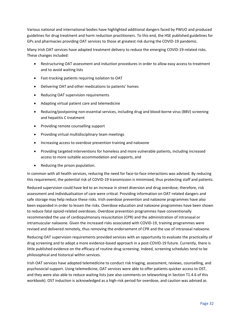Various national and international bodies have highlighted additional dangers faced by PWUO and produced guidelines for drug treatment and harm reduction practitioners. To this end, the HSE published guidelines for GPs and pharmacies providing OAT services to those at greatest risk during the COVID-19 pandemic.

Many Irish OAT services have adapted treatment delivery to reduce the emerging COVID-19-related risks. These changes included:

- Restructuring OAT assessment and induction procedures in order to allow easy access to treatment and to avoid waiting lists
- Fast-tracking patients requiring isolation to OAT
- Delivering OAT and other medications to patients' homes
- Reducing OAT supervision requirements
- Adapting virtual patient care and telemedicine
- Reducing/postponing non-essential services, including drug and blood-borne virus (BBV) screening and hepatitis C treatment
- Providing remote counselling support
- Providing virtual multidisciplinary team meetings
- Increasing access to overdose prevention training and naloxone
- Providing targeted interventions for homeless and more vulnerable patients, including increased access to more suitable accommodation and supports, and
- Reducing the prison population.

In common with all health services, reducing the need for face-to-face interactions was advised. By reducing this requirement, the potential risk of COVID-19 transmission is minimised, thus protecting staff and patients.

Reduced supervision could have led to an increase in street diversion and drug overdose; therefore, risk assessment and individualisation of care were critical. Providing information on OAT-related dangers and safe storage may help reduce these risks. Irish overdose prevention and naloxone programmes have also been expanded in order to lessen the risks. Overdose education and naloxone programmes have been shown to reduce fatal opioid-related overdoses. Overdose prevention programmes have conventionally recommended the use of cardiopulmonary resuscitation (CPR) and the administration of intranasal or intramuscular naloxone. Given the increased risks associated with COVID-19, training programmes were revised and delivered remotely, thus removing the endorsement of CPR and the use of intranasal naloxone.

Reducing OAT supervision requirements provided services with an opportunity to evaluate the practicality of drug screening and to adopt a more evidence-based approach in a post-COVID-19 future. Currently, there is little published evidence on the efficacy of routine drug screening. Indeed, screening schedules tend to be philosophical and historical within services.

Irish OAT services have adopted telemedicine to conduct risk triaging, assessment, reviews, counselling, and psychosocial support. Using telemedicine, OAT services were able to offer patients quicker access to OST, and they were also able to reduce waiting lists (see also comments on teleworking in Section T1.4.6 of this workbook). OST induction is acknowledged as a high-risk period for overdose, and caution was advised as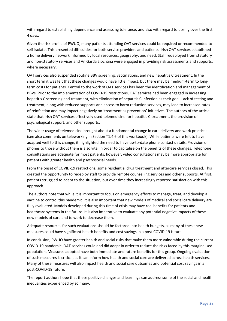with regard to establishing dependence and assessing tolerance, and also with regard to dosing over the first 4 days.

Given the risk profile of PWUO, many patients attending OAT services could be required or recommended to self-isolate. This presented difficulties for both service providers and patients. Irish OAT services established a home delivery network informed by local resources, geography, and need. Staff redeployed from statutory and non-statutory services and An Garda Síochána were engaged in providing risk assessments and supports, where necessary.

OAT services also suspended routine BBV screening, vaccinations, and new hepatitis C treatment. In the short term it was felt that these changes would have little impact, but there may be medium-term to longterm costs for patients. Central to the work of OAT services has been the identification and management of BBVs. Prior to the implementation of COVID-19 restrictions, OAT services had been engaged in increasing hepatitis C screening and treatment, with elimination of hepatitis C infection as their goal. Lack of testing and treatment, along with reduced supports and access to harm reduction services, may lead to increased rates of reinfection and may impact negatively on 'treatment as prevention' initiatives. The authors of the article state that Irish OAT services effectively used telemedicine for hepatitis C treatment, the provision of psychological support, and other supports.

The wider usage of telemedicine brought about a fundamental change in care delivery and work practices (see also comments on teleworking in Section T1.4.6 of this workbook). While patients were felt to have adapted well to this change, it highlighted the need to have up-to-date phone contact details. Provision of phones to those without them is also vital in order to capitalise on the benefits of these changes. Telephone consultations are adequate for most patients; however, video consultations may be more appropriate for patients with greater health and psychosocial needs.

From the onset of COVID-19 restrictions, some residential drug treatment and aftercare services closed. This created the opportunity to redeploy staff to provide remote counselling services and other supports. At first, patients struggled to adapt to the situation, but over time they increasingly reported satisfaction with this approach.

The authors note that while it is important to focus on emergency efforts to manage, treat, and develop a vaccine to control this pandemic, it is also important that new models of medical and social care delivery are fully evaluated. Models developed during this time of crisis may have real benefits for patients and healthcare systems in the future. It is also imperative to evaluate any potential negative impacts of these new models of care and to work to decrease them.

Adequate resources for such evaluations should be factored into health budgets, as many of these new measures could have significant health benefits and cost savings in a post-COVID-19 future.

In conclusion, PWUO have greater health and social risks that make them more vulnerable during the current COVID-19 pandemic. OAT services could and did adapt in order to reduce the risks faced by this marginalised population. Measures adopted have both immediate and future benefits for this group. Ongoing evaluation of such measures is critical, as it can inform how health and social care are delivered across health services. Many of these measures will also impact health and social care outcomes and potential cost savings in a post-COVID-19 future.

The report authors hope that these positive changes and learnings can address some of the social and health inequalities experienced by so many.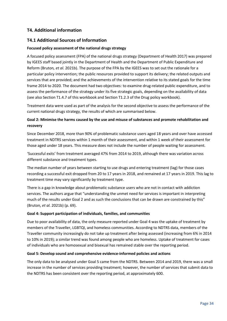## <span id="page-34-0"></span>**T4. Additional information**

## <span id="page-34-1"></span>**T4.1 Additional Sources of Information**

#### **Focused policy assessment of the national drugs strategy**

A focused policy assessment (FPA) of the national drugs strategy (Department of Health 2017) was prepared by IGEES staff based jointly in the Department of Health and the Department of Public Expenditure and Reform (Bruton*, et al.* 2021b). The purpose of the FPA by the IGEES was to set out the rationale for a particular policy intervention; the public resources provided to support its delivery; the related outputs and services that are provided; and the achievements of the intervention relative to its stated goals for the time frame 2014 to 2020. The document had two objectives: to examine drug-related public expenditure, and to assess the performance of the strategy under its five strategic goals, depending on the availability of data (see also Section T1.4.7 of this workbook and Section T1.2.3 of the Drug policy workbook).

Treatment data were used as part of the analysis for the second objective to assess the performance of the current national drugs strategy, the results of which are summarised below.

## **Goal 2: Minimise the harms caused by the use and misuse of substances and promote rehabilitation and recovery**

Since December 2018, more than 90% of problematic substance users aged 18 years and over have accessed treatment in NDTRS services within 1 month of their assessment, and within 1 week of their assessment for those aged under 18 years. This measure does not include the number of people waiting for assessment.

'Successful exits' from treatment averaged 47% from 2014 to 2019, although there was variation across different substance and treatment types.

The median number of years between starting to use drugs and entering treatment (lag) for those cases recording a successful exit dropped from 20 to 17 years in 2018, and remained at 17 years in 2019. This lag to treatment time may vary significantly by treatment type.

There is a gap in knowledge about problematic substance users who are not in contact with addiction services. The authors argue that "understanding the unmet need for services is important in interpreting much of the results under Goal 2 and as such the conclusions that can be drawn are constrained by this" (Bruton*, et al.* 2021b) (p. 69).

#### **Goal 4: Support participation of individuals, families, and communities**

Due to poor availability of data, the only measure reported under Goal 4 was the uptake of treatment by members of the Traveller, LGBTQI, and homeless communities. According to NDTRS data, members of the Traveller community increasingly do not take up treatment after being assessed (increasing from 6% in 2014 to 10% in 2019); a similar trend was found among people who are homeless. Uptake of treatment for cases of individuals who are homosexual and bisexual has remained stable over the reporting period.

#### **Goal 5: Develop sound and comprehensive evidence-informed policies and actions**

The only data to be analysed under Goal 5 came from the NDTRS. Between 2014 and 2019, there was a small increase in the number of services providing treatment; however, the number of services that submit data to the NDTRS has been consistent over the reporting period, at approximately 600.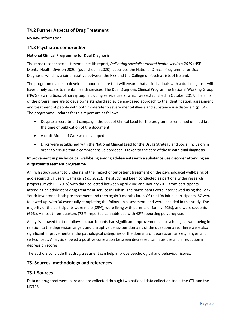## <span id="page-35-0"></span>**T4.2 Further Aspects of Drug Treatment**

No new information.

## <span id="page-35-1"></span>**T4.3 Psychiatric comorbidity**

## **National Clinical Programme for Dual Diagnosis**

The most recent specialist mental health report, *Delivering specialist mental health services 2019* (HSE Mental Health Division 2020) (published in 2020), describes the National Clinical Programme for Dual Diagnosis, which is a joint initiative between the HSE and the College of Psychiatrists of Ireland.

The programme aims to develop a model of care that will ensure that all individuals with a dual diagnosis will have timely access to mental health services. The Dual Diagnosis Clinical Programme National Working Group (NWG) is a multidisciplinary group, including service users, which was established in October 2017. The aims of the programme are to develop "a standardised evidence-based approach to the identification, assessment and treatment of people with both moderate to severe mental illness and substance use disorder" (p. 34). The programme updates for this report are as follows:

- Despite a recruitment campaign, the post of Clinical Lead for the programme remained unfilled (at the time of publication of the document).
- A draft Model of Care was developed.
- Links were established with the National Clinical Lead for the Drugs Strategy and Social Inclusion in order to ensure that a comprehensive approach is taken to the care of those with dual diagnosis.

## **Improvement in psychological well-being among adolescents with a substance use disorder attending an outpatient treatment programme**

An Irish study sought to understand the impact of outpatient treatment on the psychological well-being of adolescent drug users (Gamage*, et al.* 2021). The study had been conducted as part of a wider research project (Smyth B P 2015) with data collected between April 2008 and January 2011 from participants attending an adolescent drug treatment service in Dublin. The participants were interviewed using the Beck Youth Inventories both pre-treatment and then again 3 months later. Of the 108 initial participants, 87 were followed up, with 36 eventually completing the follow-up assessment, and were included in this study. The majority of the participants were male (89%), were living with parents or family (92%), and were students (69%). Almost three-quarters (72%) reported cannabis use with 42% reporting polydrug use.

Analysis showed that on follow-up, participants had significant improvements in psychological well-being in relation to the depression, anger, and disruptive behaviour domains of the questionnaire. There were also significant improvements in the pathological categories of the domains of depression, anxiety, anger, and self-concept. Analysis showed a positive correlation between decreased cannabis use and a reduction in depression scores.

The authors conclude that drug treatment can help improve psychological and behaviour issues.

## <span id="page-35-2"></span>**T5. Sources, methodology and references**

## <span id="page-35-3"></span>**T5.1 Sources**

Data on drug treatment in Ireland are collected through two national data collection tools: the CTL and the NDTRS.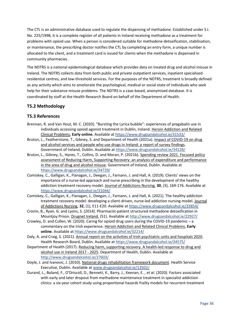The CTL is an administrative database used to regulate the dispensing of methadone. Established under S.I. No. 225/1998, it is a complete register of all patients in Ireland receiving methadone as a treatment for problems with opioid use. When a person is considered suitable for methadone detoxification, stabilisation, or maintenance, the prescribing doctor notifies the CTL by completing an entry form, a unique number is allocated to the client, and a treatment card is issued for clients when the methadone is dispensed in community pharmacies.

The NDTRS is a national epidemiological database which provides data on treated drug and alcohol misuse in Ireland. The NDTRS collects data from both public and private outpatient services, inpatient specialised residential centres, and low-threshold services. For the purposes of the NDTRS, treatment is broadly defined as any activity which aims to ameliorate the psychological, medical or social state of individuals who seek help for their substance misuse problems. The NDTRS is a case-based, anonymised database. It is coordinated by staff at the Health Research Board on behalf of the Department of Health.

## <span id="page-36-0"></span>**T5.2 Methodology**

## <span id="page-36-1"></span>**T5.3 References**

- Brennan, R. and Van Hout, M. C. (2020). "Bursting the Lyrica bubble": experiences of pregabalin use in individuals accessing opioid agonist treatment in Dublin, Ireland. Heroin Addiction and Related Clinical Problems, **Early online**. Available at<https://www.drugsandalcohol.ie/31533/>
- Bruton, L., Featherstone, T., Gibney, S. and Department of Health (2021a). Impact of COVID-19 on drug and alcohol services and people who use drugs in Ireland: a report of survey findings. Government of Ireland, Dublin. Available at<https://www.drugsandalcohol.ie/34128/>
- Bruton, L., Gibney, S., Hynes, T., Collins, D. and Moran, P. (2021b). Spending review 2021. Focused policy assessment of Reducing Harm, Supporting Recovery: an analysis of expenditure and performance in the area of drug and alcohol misuse. Government of Ireland, Dublin. Available at <https://www.drugsandalcohol.ie/34729/>
- Comiskey, C., Galligan, K., Flanagan, J., Deegan, J., Farnann, J. and Hall, A. (2019). Clients' views on the importance of a nurse-led approach and nurse prescribing in the development of the healthy addiction treatment recovery model. Journal of Addictions Nursing, **30**, (3), 169-176. Available at <https://www.drugsandalcohol.ie/31044/>
- Comiskey, C., Galligan, K., Flanagan, J., Deegan, J., Farnann, J. and Hall, A. (2021). The healthy addiction treatment recovery model: developing a client-driven, nurse-led addiction nursing model. Journal of Addictions Nursing, **32**, (1), E11-E20. Available at<https://www.drugsandalcohol.ie/33854/>
- Cronin, B., Ryan, G. and Lyons, S. (2014). Pharmacist-patient structured methadone detoxification in Mountjoy Prison. Drugnet Ireland, (51). Available at<http://www.drugsandalcohol.ie/22927/>
- Crowley, D. and Cullen, W. (2020). Caring for opioid drug users during the COVID-19 pandemic a commentary on the Irish experience. Heroin Addiction and Related Clinical Problems, **Early online**. Available a[t https://www.drugsandalcohol.ie/32214/](https://www.drugsandalcohol.ie/32214/)
- Daly, A. and Craig, S. (2021). Annual report on the activities of Irish psychiatric units and hospitals 2020. Health Research Board, Dublin. Available at<https://www.drugsandalcohol.ie/34575/>
- Department of Health (2017). Reducing harm, supporting recovery. A health-led response to drug and alcohol use in Ireland 2017 - 2025. Department of Health, Dublin. Available at <http://www.drugsandalcohol.ie/27603/>
- Doyle, J. and Ivanovic, J. (2010). National drugs rehabilitation framework document. Health Service Executive, Dublin. Available at [www.drugsandalcohol.ie/13502/](http://www.drugsandalcohol.ie/13502/)
- Durand, L., Boland, F., O'Driscoll, D., Bennett, K., Barry, J., Keenan, E. *, et al.* (2020). Factors associated with early and later dropout from methadone maintenance treatment in specialist addiction clinics: a six-year cohort study using proportional hazards frailty models for recurrent treatment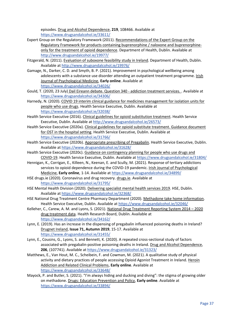episodes. Drug and Alcohol Dependence, **219**, 108466. Available at <https://www.drugsandalcohol.ie/33611/>

- Expert Group on the Regulatory Framework (2011). Recommendations of the Expert Group on the Regulatory Framework for products containing buprenorphine / naloxone and buprenorphineonly for the treatment of opioid dependence. Department of Health, Dublin. Available at <http://www.drugsandalcohol.ie/19977/>
- Fitzgerald, N. (2011). Evaluation of suboxone feasibility study in Ireland. Department of Health, Dublin. Available a[t http://www.drugsandalcohol.ie/19976/](http://www.drugsandalcohol.ie/19976/)
- Gamage, N., Darker, C. D. and Smyth, B. P. (2021). Improvement in psychological wellbeing among adolescents with a substance use disorder attending an outpatient treatment programme. Irish Journal of Psychological Medicine, **Early online**. Available at <https://www.drugsandalcohol.ie/34026/>
- Gould, T. (2020, 23 July) Dail Eireann debate. Question 340 addiction treatment services. . Available at <https://www.drugsandalcohol.ie/34306/>
- Harnedy, N. (2020). COVID 19 interim clinical guidance for medicines management for isolation units for people who use drugs. Health Service Executive, Dublin. Available at <https://www.drugsandalcohol.ie/32038/>
- Health Service Executive (2016). Clinical guidelines for opioid substitution treatment. Health Service Executive, Dublin. Available at<http://www.drugsandalcohol.ie/26573/>
- Health Service Executive (2020a). Clinical guidelines for opioid substitute treatment. Guidance document for OST in the hospital setting. Health Service Executive, Dublin. Available at <https://www.drugsandalcohol.ie/31766/>
- Health Service Executive (2020b). Appropriate prescribing of Pregabalin. Health Service Executive, Dublin. Available a[t https://www.drugsandalcohol.ie/31628/](https://www.drugsandalcohol.ie/31628/)
- Health Service Executive (2020c). Guidance on contingency planning for people who use drugs and COVID-19. Health Service Executive, Dublin. Available at<https://www.drugsandalcohol.ie/31804/>
- Hennigan, K., Corrigan, E., Killeen, N., Keenan, E. and Scully, M. (2021). Response of tertiary addictions services to opioid dependence during the COVID-19 pandemic. Irish Journal of Psychological Medicine, **Early online**, 1-14. Available a[t https://www.drugsandalcohol.ie/34899/](https://www.drugsandalcohol.ie/34899/)
- HSE drugs.ie (2020). Coronavirus and drug recovery. drugs.ie. Available at <https://www.drugsandalcohol.ie/31795/>
- HSE Mental Health Division (2020). Delivering specialist mental health services 2019. HSE, Dublin. Available a[t https://www.drugsandalcohol.ie/32368/](https://www.drugsandalcohol.ie/32368/)
- HSE National Drug Treatment Centre Pharmacy Department (2020). Methadone take home information. Health Service Executive, Dublin. Available a[t https://www.drugsandalcohol.ie/32046/](https://www.drugsandalcohol.ie/32046/)
- Kelleher, C., Carew, A. M. and Lyons, S. (2021). National Drug Treatment Reporting System 2014 2020 drug treatment data. Health Research Board, Dublin. Available at <https://www.drugsandalcohol.ie/34162/>
- Lynn, E. (2019). Has an increase in the dispensing of pregabalin influenced poisoning deaths in Ireland? Drugnet Ireland, **Issue 71, Autumn 2019**, 15-17. Available at <https://www.drugsandalcohol.ie/31455/>
- Lynn, E., Cousins, G., Lyons, S. and Bennett, K. (2020). A repeated cross-sectional study of factors associated with pregabalin-positive poisoning deaths in Ireland. Drug and Alcohol Dependence, **206**, (107741). Available at<https://www.drugsandalcohol.ie/31323/>
- Matthews, E., Van Hout, M. C., Scheibein, F. and Cowman, M. (2021). A qualitative study of physical activity and dietary practices of people accessing Opioid Agonist Treatment in Ireland. Heroin Addiction and Related Clinical Problems, **Early online**. Available at <https://www.drugsandalcohol.ie/33648/>
- Mayock, P. and Butler, S. (2021). "I'm always hiding and ducking and diving": the stigma of growing older on methadone. Drugs: Education Prevention and Policy, **Early online**. Available at <https://www.drugsandalcohol.ie/33894/>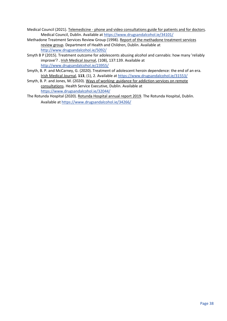- Medical Council (2021). Telemedicine phone and video consultations guide for patients and for doctors. Medical Council, Dublin. Available at<https://www.drugsandalcohol.ie/34101/>
- Methadone Treatment Services Review Group (1998). Report of the methadone treatment services review group. Department of Health and Children, Dublin. Available at <http://www.drugsandalcohol.ie/5092/>
- Smyth B P (2015). Treatment outcome for adolescents abusing alcohol and cannabis: how many 'reliably improve'? . Irish Medical Journal, (108), 137:139. Available at <http://www.drugsandalcohol.ie/23955/>
- Smyth, B. P. and McCarney, G. (2020). Treatment of adolescent heroin dependence: the end of an era. Irish Medical Journal, **113**, (1), 2. Available at<https://www.drugsandalcohol.ie/31553/>
- Smyth, B. P. and Jones, M. (2020). Ways of working: guidance for addiction services on remote consultations. Health Service Executive, Dublin. Available at <https://www.drugsandalcohol.ie/32044/>
- The Rotunda Hospital (2020). Rotunda Hospital annual report 2019. The Rotunda Hospital, Dublin. Available a[t https://www.drugsandalcohol.ie/34266/](https://www.drugsandalcohol.ie/34266/)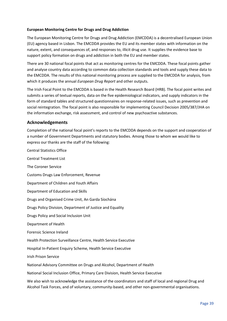## **European Monitoring Centre for Drugs and Drug Addiction**

The European Monitoring Centre for Drugs and Drug Addiction (EMCDDA) is a decentralised European Union (EU) agency based in Lisbon. The EMCDDA provides the EU and its member states with information on the nature, extent, and consequences of, and responses to, illicit drug use. It supplies the evidence base to support policy formation on drugs and addiction in both the EU and member states.

There are 30 national focal points that act as monitoring centres for the EMCDDA. These focal points gather and analyse country data according to common data collection standards and tools and supply these data to the EMCDDA. The results of this national monitoring process are supplied to the EMCDDA for analysis, from which it produces the annual *European Drug Report* and other outputs.

The Irish Focal Point to the EMCDDA is based in the Health Research Board (HRB). The focal point writes and submits a series of textual reports, data on the five epidemiological indicators, and supply indicators in the form of standard tables and structured questionnaires on response-related issues, such as prevention and social reintegration. The focal point is also responsible for implementing Council Decision 2005/387/JHA on the information exchange, risk assessment, and control of new psychoactive substances.

## <span id="page-39-0"></span>**Acknowledgements**

Completion of the national focal point's reports to the EMCDDA depends on the support and cooperation of a number of Government Departments and statutory bodies. Among those to whom we would like to express our thanks are the staff of the following:

Central Statistics Office Central Treatment List The Coroner Service Customs Drugs Law Enforcement, Revenue Department of Children and Youth Affairs Department of Education and Skills Drugs and Organised Crime Unit, An Garda Síochána Drugs Policy Division, Department of Justice and Equality Drugs Policy and Social Inclusion Unit Department of Health Forensic Science Ireland Health Protection Surveillance Centre, Health Service Executive Hospital In-Patient Enquiry Scheme, Health Service Executive Irish Prison Service National Advisory Committee on Drugs and Alcohol, Department of Health National Social Inclusion Office, Primary Care Division, Health Service Executive We also wish to acknowledge the assistance of the coordinators and staff of local and regional Drug and

Alcohol Task Forces, and of voluntary, community-based, and other non-governmental organisations.